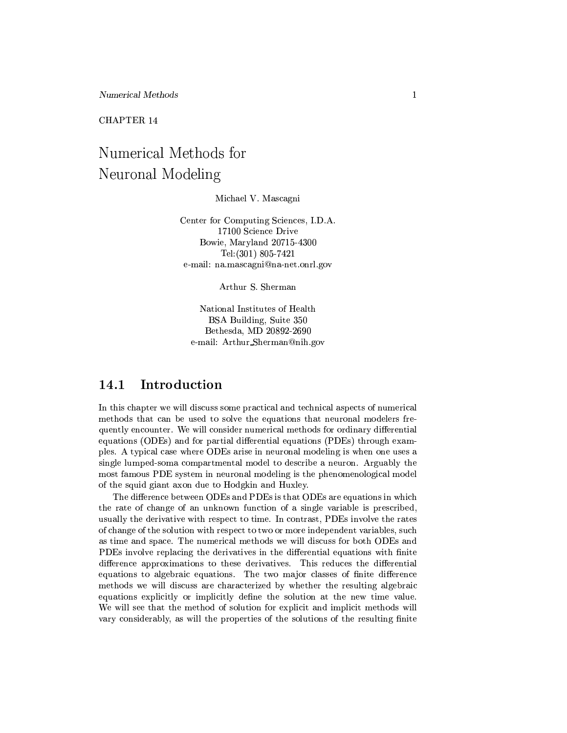CHAPTER 14

# Numerical Methods for Neuronal Modeling

Michael V. Mascagni

Center for Computing Sciences, I.D.A. 17100 Science Drive Bowie, Maryland 20715-4300 Tel:  $(301)$  805-7421 e-mail: na.mascagni@na-net.onrl.gov

Arthur S. Sherman

National Institutes of Health BSA Building, Suite 350 Bethesda, MD 20892-2690 e-mail: Arthur\_Sherman@nih.gov

#### Introduction 14.1

In this chapter we will discuss some practical and technical aspects of numerical methods that can be used to solve the equations that neuronal modelers frequently encounter. We will consider numerical methods for ordinary differential equations (ODEs) and for partial differential equations (PDEs) through examples. A typical case where ODEs arise in neuronal modeling is when one uses a single lumped-soma compartmental model to describe a neuron. Arguably the most famous PDE system in neuronal modeling is the phenomenological model of the squid giant axon due to Hodgkin and Huxley.

The difference between ODEs and PDEs is that ODEs are equations in which the rate of change of an unknown function of a single variable is prescribed, usually the derivative with respect to time. In contrast, PDEs involve the rates of change of the solution with respect to two or more independent variables, such as time and space. The numerical methods we will discuss for both ODEs and PDEs involve replacing the derivatives in the differential equations with finite difference approximations to these derivatives. This reduces the differential equations to algebraic equations. The two major classes of finite difference methods we will discuss are characterized by whether the resulting algebraic equations explicitly or implicitly define the solution at the new time value. We will see that the method of solution for explicit and implicit methods will vary considerably, as will the properties of the solutions of the resulting finite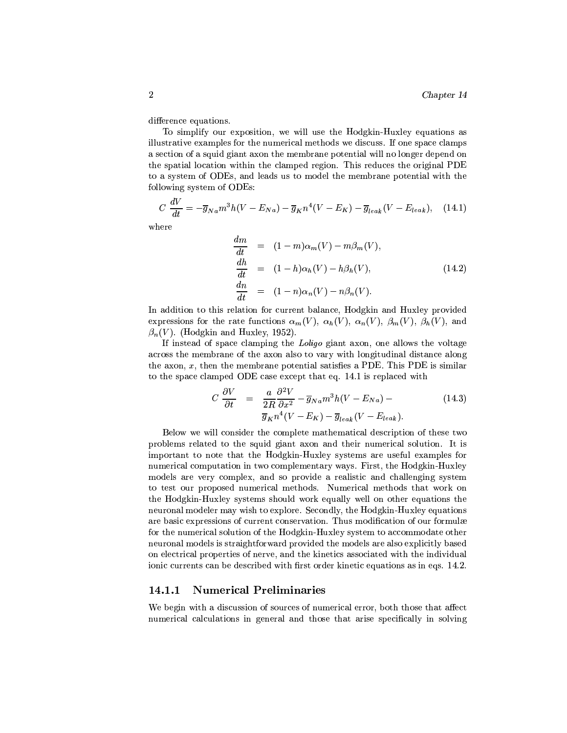difference equations.

To simplify our exposition, we will use the Hodgkin-Huxley equations as illustrative examples for the numerical methods we discuss. If one space clamps a section of a squid giant axon the membrane potential will no longer depend on the spatial location within the clamped region. This reduces the original PDE to a system of ODEs, and leads us to model the membrane potential with the following system of ODEs:

$$
C\frac{dV}{dt} = -\overline{g}_{Na}m^3h(V - E_{Na}) - \overline{g}_{K}n^4(V - E_{K}) - \overline{g}_{leak}(V - E_{leak}), \quad (14.1)
$$

 $where$ 

$$
\begin{aligned}\n\frac{dm}{dt} &= (1-m)\alpha_m(V) - m\beta_m(V), \\
\frac{dh}{dt} &= (1-h)\alpha_h(V) - h\beta_h(V), \\
\frac{dn}{dt} &= (1-n)\alpha_n(V) - n\beta_n(V).\n\end{aligned} \tag{14.2}
$$

In addition to this relation for current balance, Hodgkin and Huxley provided expressions for the rate functions  $\alpha_m(V)$ ,  $\alpha_n(V)$ ,  $\alpha_n(V)$ ,  $\beta_m(V)$ ,  $\beta_h(V)$ , and  $\beta_n(V)$ . (Hodgkin and Huxley, 1952).

If instead of space clamping the Loligo giant axon, one allows the voltage across the membrane of the axon also to vary with longitudinal distance along the axon,  $x$ , then the membrane potential satisfies a PDE. This PDE is similar to the space clamped ODE case except that eq. 14.1 is replaced with

$$
C \frac{\partial V}{\partial t} = \frac{a}{2R} \frac{\partial^2 V}{\partial x^2} - \overline{g}_{Na} m^3 h (V - E_{Na}) -
$$
  

$$
\overline{g}_K n^4 (V - E_K) - \overline{g}_{leak} (V - E_{leak}).
$$
 (14.3)

Below we will consider the complete mathematical description of these two problems related to the squid giant axon and their numerical solution. It is important to note that the Hodgkin-Huxley systems are useful examples for numerical computation in two complementary ways. First, the Hodgkin-Huxley models are very complex, and so provide a realistic and challenging system to test our proposed numerical methods. Numerical methods that work on the Hodgkin-Huxley systems should work equally well on other equations the neuronal modeler may wish to explore. Secondly, the Hodgkin-Huxley equations are basic expressions of current conservation. Thus modification of our formulæ for the numerical solution of the Hodgkin-Huxley system to accommodate other neuronal models is straightforward provided the models are also explicitly based on electrical properties of nerve, and the kinetics associated with the individual ionic currents can be described with first order kinetic equations as in eqs. 14.2.

#### 14.1.1 **Numerical Preliminaries**

We begin with a discussion of sources of numerical error, both those that affect numerical calculations in general and those that arise specifically in solving

 $\overline{2}$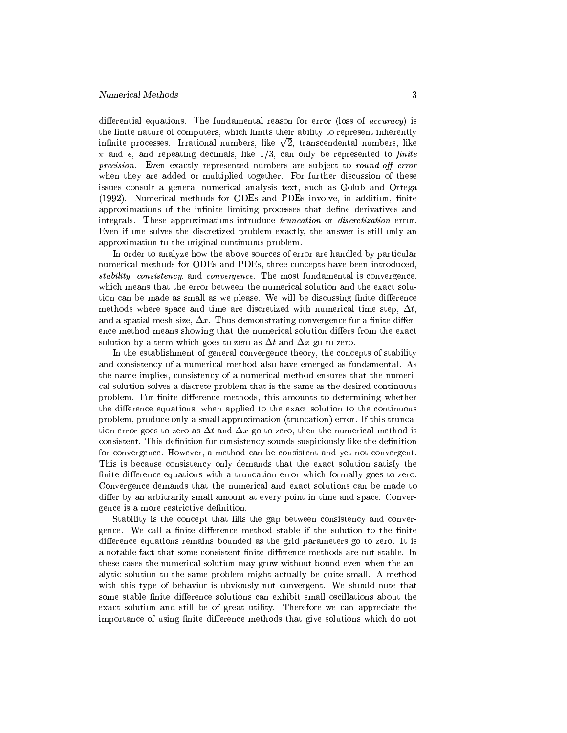differential equations. The fundamental reason for error (loss of *accuracy*) is the finite nature of computers, which limits their ability to represent inherently infinite processes. Irrational numbers, like  $\sqrt{2}$ , transcendental numbers, like  $\pi$  and e, and repeating decimals, like 1/3, can only be represented to finite *precision.* Even exactly represented numbers are subject to *round-off error* when they are added or multiplied together. For further discussion of these issues consult a general numerical analysis text, such as Golub and Ortega (1992). Numerical methods for ODEs and PDEs involve, in addition, finite approximations of the infinite limiting processes that define derivatives and integrals. These approximations introduce *truncation* or *discretization* error. Even if one solves the discretized problem exactly, the answer is still only an approximation to the original continuous problem.

In order to analyze how the above sources of error are handled by particular numerical methods for ODEs and PDEs, three concepts have been introduced, stability, consistency, and convergence. The most fundamental is convergence, which means that the error between the numerical solution and the exact solution can be made as small as we please. We will be discussing finite difference methods where space and time are discretized with numerical time step,  $\Delta t$ , and a spatial mesh size,  $\Delta x$ . Thus demonstrating convergence for a finite difference method means showing that the numerical solution differs from the exact solution by a term which goes to zero as  $\Delta t$  and  $\Delta x$  go to zero.

In the establishment of general convergence theory, the concepts of stability and consistency of a numerical method also have emerged as fundamental. As the name implies, consistency of a numerical method ensures that the numerical solution solves a discrete problem that is the same as the desired continuous problem. For finite difference methods, this amounts to determining whether the difference equations, when applied to the exact solution to the continuous problem, produce only a small approximation (truncation) error. If this truncation error goes to zero as  $\Delta t$  and  $\Delta x$  go to zero, then the numerical method is consistent. This definition for consistency sounds suspiciously like the definition for convergence. However, a method can be consistent and yet not convergent. This is because consistency only demands that the exact solution satisfy the finite difference equations with a truncation error which formally goes to zero. Convergence demands that the numerical and exact solutions can be made to differ by an arbitrarily small amount at every point in time and space. Convergence is a more restrictive definition.

Stability is the concept that fills the gap between consistency and convergence. We call a finite difference method stable if the solution to the finite difference equations remains bounded as the grid parameters go to zero. It is a notable fact that some consistent finite difference methods are not stable. In these cases the numerical solution may grow without bound even when the analytic solution to the same problem might actually be quite small. A method with this type of behavior is obviously not convergent. We should note that some stable finite difference solutions can exhibit small oscillations about the exact solution and still be of great utility. Therefore we can appreciate the importance of using finite difference methods that give solutions which do not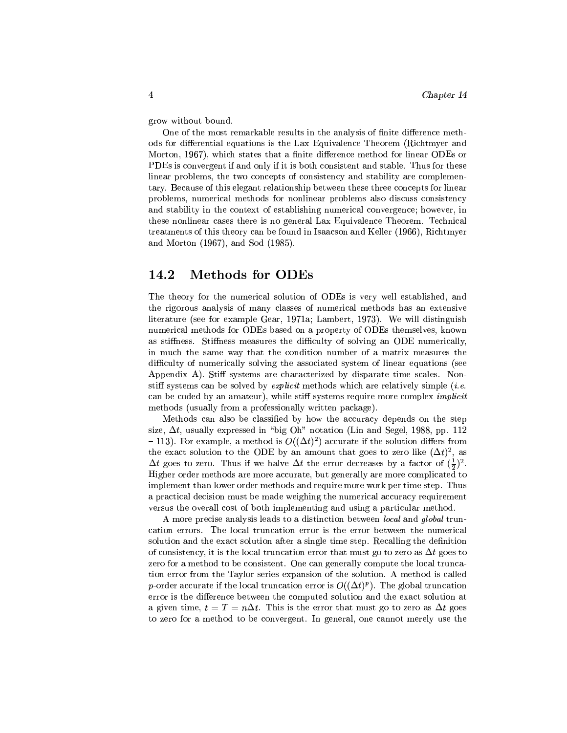grow without bound.

One of the most remarkable results in the analysis of finite difference methods for differential equations is the Lax Equivalence Theorem (Richtmyer and Morton, 1967), which states that a finite difference method for linear ODEs or PDEs is convergent if and only if it is both consistent and stable. Thus for these linear problems, the two concepts of consistency and stability are complementary. Because of this elegant relationship between these three concepts for linear problems, numerical methods for nonlinear problems also discuss consistency and stability in the context of establishing numerical convergence; however, in these nonlinear cases there is no general Lax Equivalence Theorem. Technical treatments of this theory can be found in Isaacson and Keller (1966). Richtmyer and Morton (1967), and Sod (1985).

#### 14.2 **Methods for ODEs**

The theory for the numerical solution of ODEs is very well established, and the rigorous analysis of many classes of numerical methods has an extensive literature (see for example Gear, 1971a; Lambert, 1973). We will distinguish numerical methods for ODEs based on a property of ODEs themselves, known as stiffness. Stiffness measures the difficulty of solving an ODE numerically, in much the same way that the condition number of a matrix measures the difficulty of numerically solving the associated system of linear equations (see Appendix A). Stiff systems are characterized by disparate time scales. Nonstiff systems can be solved by *explicit* methods which are relatively simple *(i.e.*) can be coded by an amateur), while stiff systems require more complex *implicit* methods (usually from a professionally written package).

Methods can also be classified by how the accuracy depends on the step size,  $\Delta t$ , usually expressed in "big Oh" notation (Lin and Segel, 1988, pp. 112) -113). For example, a method is  $O((\Delta t)^2)$  accurate if the solution differs from the exact solution to the ODE by an amount that goes to zero like  $(\Delta t)^2$ , as  $\Delta t$  goes to zero. Thus if we halve  $\Delta t$  the error decreases by a factor of  $(\frac{1}{2})^2$ . Higher order methods are more accurate, but generally are more complicated to implement than lower order methods and require more work per time step. Thus a practical decision must be made weighing the numerical accuracy requirement versus the overall cost of both implementing and using a particular method.

A more precise analysis leads to a distinction between local and global truncation errors. The local truncation error is the error between the numerical solution and the exact solution after a single time step. Recalling the definition of consistency, it is the local truncation error that must go to zero as  $\Delta t$  goes to zero for a method to be consistent. One can generally compute the local truncation error from the Taylor series expansion of the solution. A method is called p-order accurate if the local truncation error is  $O((\Delta t)^p)$ . The global truncation error is the difference between the computed solution and the exact solution at a given time,  $t = T = n\Delta t$ . This is the error that must go to zero as  $\Delta t$  goes to zero for a method to be convergent. In general, one cannot merely use the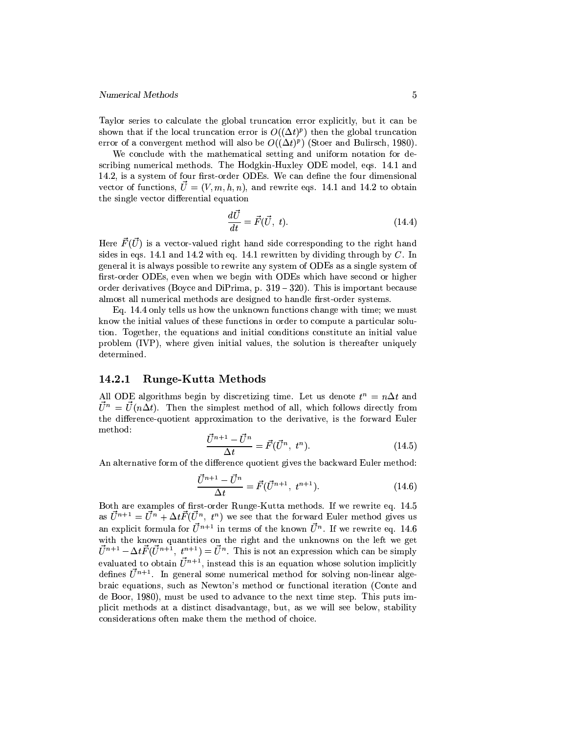Taylor series to calculate the global truncation error explicitly, but it can be shown that if the local truncation error is  $O((\Delta t)^p)$  then the global truncation error of a convergent method will also be  $O((\Delta t)^p)$  (Stoer and Bulirsch, 1980).

We conclude with the mathematical setting and uniform notation for describing numerical methods. The Hodgkin-Huxley ODE model, eqs. 14.1 and 14.2, is a system of four first-order ODEs. We can define the four dimensional vector of functions,  $\vec{U} = (V, m, h, n)$ , and rewrite eqs. 14.1 and 14.2 to obtain the single vector differential equation

$$
\frac{d\vec{U}}{dt} = \vec{F}(\vec{U}, t). \tag{14.4}
$$

Here  $\vec{F}(\vec{U})$  is a vector-valued right hand side corresponding to the right hand sides in eqs. 14.1 and 14.2 with eq. 14.1 rewritten by dividing through by  $C$ . In general it is always possible to rewrite any system of ODEs as a single system of first-order ODEs, even when we begin with ODEs which have second or higher order derivatives (Boyce and DiPrima, p.  $319 - 320$ ). This is important because almost all numerical methods are designed to handle first-order systems.

Eq. 14.4 only tells us how the unknown functions change with time; we must know the initial values of these functions in order to compute a particular solution. Together, the equations and initial conditions constitute an initial value problem (IVP), where given initial values, the solution is thereafter uniquely determined.

#### **Runge-Kutta Methods** 14.2.1

All ODE algorithms begin by discretizing time. Let us denote  $t^n = n\Delta t$  and  $\vec{U}^n = \vec{U}(n\Delta t)$ . Then the simplest method of all, which follows directly from the difference-quotient approximation to the derivative, is the forward Euler method:

$$
\frac{\vec{U}^{n+1} - \vec{U}^n}{\Delta t} = \vec{F}(\vec{U}^n, t^n). \tag{14.5}
$$

An alternative form of the difference quotient gives the backward Euler method:

$$
\frac{\vec{U}^{n+1} - \vec{U}^n}{\Delta t} = \vec{F}(\vec{U}^{n+1}, t^{n+1}).
$$
\n(14.6)

Both are examples of first-order Runge-Kutta methods. If we rewrite eq. 14.5 as  $\vec{U}^{n+1} = \vec{U}^n + \Delta t \vec{F}(\vec{U}^n, t^n)$  we see that the forward Euler method gives us an explicit formula for  $\vec{U}^{n+1}$  in terms of the known  $\vec{U}^n$ . If we rewrite eq. 14.6 with the known quantities on the right and the unknowns on the left we get  $\vec{U}^{n+1} - \Delta t \vec{F} (\vec{U}^{n+1}, t^{n+1}) = \vec{U}^n$ . This is not an expression which can be simply evaluated to obtain  $\vec{U}^{n+1}$ , instead this is an equation whose solution implicitly defines  $\vec{U}^{n+1}$ . In general some numerical method for solving non-linear algebraic equations, such as Newton's method or functional iteration (Conte and de Boor, 1980), must be used to advance to the next time step. This puts implicit methods at a distinct disadvantage, but, as we will see below, stability considerations often make them the method of choice.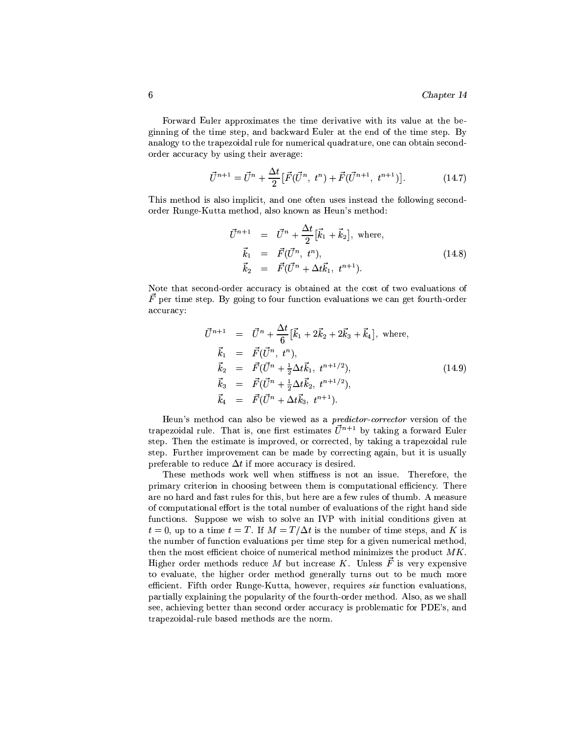Forward Euler approximates the time derivative with its value at the beginning of the time step, and backward Euler at the end of the time step. By analogy to the trapezoidal rule for numerical quadrature, one can obtain secondorder accuracy by using their average:

$$
\vec{U}^{n+1} = \vec{U}^n + \frac{\Delta t}{2} [\vec{F}(\vec{U}^n, t^n) + \vec{F}(\vec{U}^{n+1}, t^{n+1})]. \tag{14.7}
$$

This method is also implicit, and one often uses instead the following secondorder Runge-Kutta method, also known as Heun's method:

$$
\vec{U}^{n+1} = \vec{U}^n + \frac{\Delta t}{2} [\vec{k}_1 + \vec{k}_2], \text{ where,}
$$
\n
$$
\vec{k}_1 = \vec{F}(\vec{U}^n, t^n),
$$
\n
$$
\vec{k}_2 = \vec{F}(\vec{U}^n + \Delta t \vec{k}_1, t^{n+1}).
$$
\n(14.8)

Note that second-order accuracy is obtained at the cost of two evaluations of  $\vec{F}$  per time step. By going to four function evaluations we can get fourth-order accuracy:

$$
\vec{U}^{n+1} = \vec{U}^n + \frac{\Delta t}{6} [\vec{k}_1 + 2\vec{k}_2 + 2\vec{k}_3 + \vec{k}_4], \text{ where,}
$$
\n
$$
\vec{k}_1 = \vec{F}(\vec{U}^n, t^n),
$$
\n
$$
\vec{k}_2 = \vec{F}(\vec{U}^n + \frac{1}{2}\Delta t \vec{k}_1, t^{n+1/2}),
$$
\n
$$
\vec{k}_3 = \vec{F}(\vec{U}^n + \frac{1}{2}\Delta t \vec{k}_2, t^{n+1/2}),
$$
\n
$$
\vec{k}_4 = \vec{F}(\vec{U}^n + \Delta t \vec{k}_3, t^{n+1}).
$$
\n(14.9)

Heun's method can also be viewed as a *predictor-corrector* version of the trapezoidal rule. That is, one first estimates  $\vec{U}^{n+1}$  by taking a forward Euler step. Then the estimate is improved, or corrected, by taking a trapezoidal rule step. Further improvement can be made by correcting again, but it is usually preferable to reduce  $\Delta t$  if more accuracy is desired.

These methods work well when stiffness is not an issue. Therefore, the primary criterion in choosing between them is computational efficiency. There are no hard and fast rules for this, but here are a few rules of thumb. A measure of computational effort is the total number of evaluations of the right hand side functions. Suppose we wish to solve an IVP with initial conditions given at  $t=0$ , up to a time  $t=T$ . If  $M=T/\Delta t$  is the number of time steps, and K is the number of function evaluations per time step for a given numerical method, then the most efficient choice of numerical method minimizes the product  $MK$ . Higher order methods reduce M but increase K. Unless  $\vec{F}$  is very expensive to evaluate, the higher order method generally turns out to be much more efficient. Fifth order Runge-Kutta, however, requires six function evaluations, partially explaining the popularity of the fourth-order method. Also, as we shall see, achieving better than second order accuracy is problematic for PDE's, and trapezoidal-rule based methods are the norm.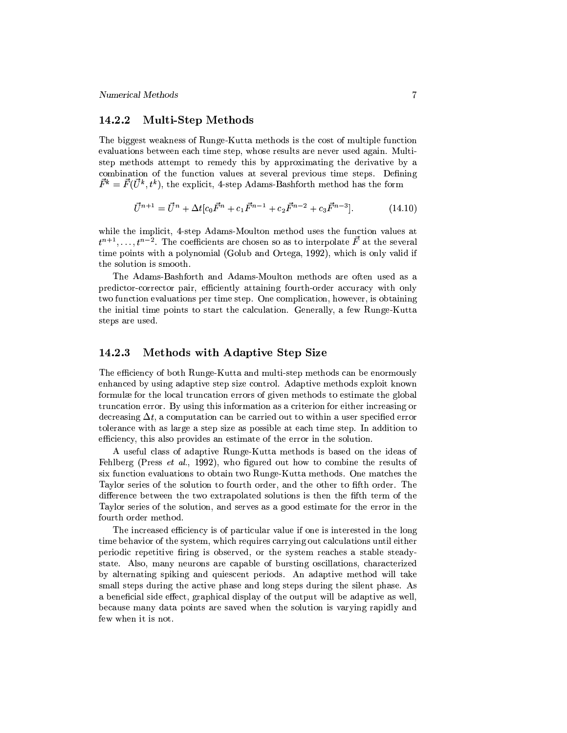#### **Multi-Step Methods** 14.2.2

The biggest weakness of Runge-Kutta methods is the cost of multiple function evaluations between each time step, whose results are never used again. Multistep methods attempt to remedy this by approximating the derivative by a combination of the function values at several previous time steps. Defining  $\vec{F}^k = \vec{F}(\vec{U}^k, t^k)$ , the explicit, 4-step Adams-Bashforth method has the form

$$
\vec{U}^{n+1} = \vec{U}^n + \Delta t [c_0 \vec{F}^n + c_1 \vec{F}^{n-1} + c_2 \vec{F}^{n-2} + c_3 \vec{F}^{n-3}]. \tag{14.10}
$$

while the implicit, 4-step Adams-Moulton method uses the function values at  $t^{n+1}, \ldots, t^{n-2}$ . The coefficients are chosen so as to interpolate  $\vec{F}$  at the several time points with a polynomial (Golub and Ortega, 1992), which is only valid if the solution is smooth.

The Adams-Bashforth and Adams-Moulton methods are often used as a predictor-corrector pair, efficiently attaining fourth-order accuracy with only two function evaluations per time step. One complication, however, is obtaining the initial time points to start the calculation. Generally, a few Runge-Kutta steps are used.

#### 14.2.3 Methods with Adaptive Step Size

The efficiency of both Runge-Kutta and multi-step methods can be enormously enhanced by using adaptive step size control. Adaptive methods exploit known formulæ for the local truncation errors of given methods to estimate the global truncation error. By using this information as a criterion for either increasing or decreasing  $\Delta t$ , a computation can be carried out to within a user specified error tolerance with as large a step size as possible at each time step. In addition to efficiency, this also provides an estimate of the error in the solution.

A useful class of adaptive Runge-Kutta methods is based on the ideas of Fehlberg (Press et al., 1992), who figured out how to combine the results of six function evaluations to obtain two Runge-Kutta methods. One matches the Taylor series of the solution to fourth order, and the other to fifth order. The difference between the two extrapolated solutions is then the fifth term of the Taylor series of the solution, and serves as a good estimate for the error in the fourth order method.

The increased efficiency is of particular value if one is interested in the long time behavior of the system, which requires carrying out calculations until either periodic repetitive firing is observed, or the system reaches a stable steadystate. Also, many neurons are capable of bursting oscillations, characterized by alternating spiking and quiescent periods. An adaptive method will take small steps during the active phase and long steps during the silent phase. As a beneficial side effect, graphical display of the output will be adaptive as well, because many data points are saved when the solution is varying rapidly and few when it is not.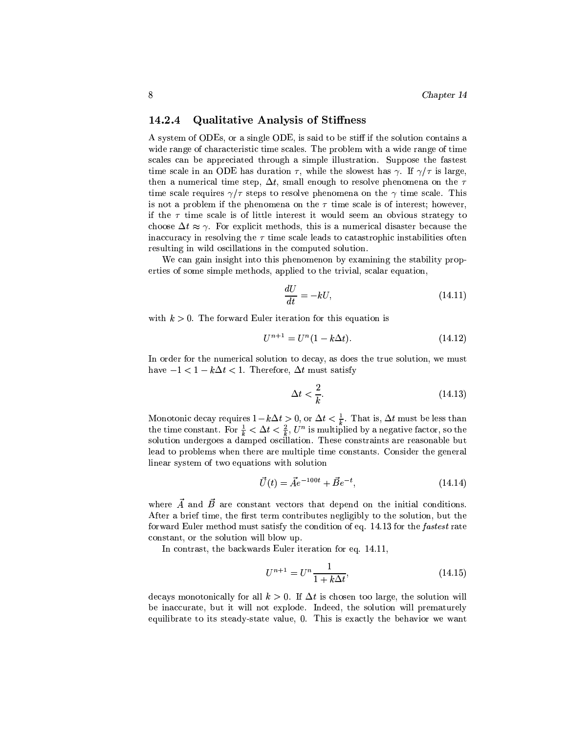#### **Qualitative Analysis of Stiffness** 14.2.4

A system of ODEs, or a single ODE, is said to be stiff if the solution contains a wide range of characteristic time scales. The problem with a wide range of time scales can be appreciated through a simple illustration. Suppose the fastest time scale in an ODE has duration  $\tau$ , while the slowest has  $\gamma$ . If  $\gamma/\tau$  is large, then a numerical time step,  $\Delta t$ , small enough to resolve phenomena on the  $\tau$ time scale requires  $\gamma/\tau$  steps to resolve phenomena on the  $\gamma$  time scale. This is not a problem if the phenomena on the  $\tau$  time scale is of interest; however, if the  $\tau$  time scale is of little interest it would seem an obvious strategy to choose  $\Delta t \approx \gamma$ . For explicit methods, this is a numerical disaster because the inaccuracy in resolving the  $\tau$  time scale leads to catastrophic instabilities often resulting in wild oscillations in the computed solution.

We can gain insight into this phenomenon by examining the stability properties of some simple methods, applied to the trivial, scalar equation,

$$
\frac{dU}{dt} = -kU,\t(14.11)
$$

with  $k > 0$ . The forward Euler iteration for this equation is

$$
U^{n+1} = U^n(1 - k\Delta t). \tag{14.12}
$$

In order for the numerical solution to decay, as does the true solution, we must have  $-1 < 1 - k\Delta t < 1$ . Therefore,  $\Delta t$  must satisfy

$$
\Delta t < \frac{2}{k}.\tag{14.13}
$$

Monotonic decay requires  $1 - k\Delta t > 0$ , or  $\Delta t < \frac{1}{k}$ . That is,  $\Delta t$  must be less than the time constant. For  $\frac{1}{k} < \Delta t < \frac{2}{k}$ ,  $U^n$  is multiplied by a negative factor, so the solution undergoes a damped oscillation. These constraints are reasonable but lead to problems when there are multiple time constants. Consider the general linear system of two equations with solution

$$
\vec{U}(t) = \vec{A}e^{-100t} + \vec{B}e^{-t},\tag{14.14}
$$

where  $\vec{A}$  and  $\vec{B}$  are constant vectors that depend on the initial conditions. After a brief time, the first term contributes negligibly to the solution, but the forward Euler method must satisfy the condition of eq. 14.13 for the fastest rate constant, or the solution will blow up.

In contrast, the backwards Euler iteration for eq. 14.11,

$$
U^{n+1} = U^n \frac{1}{1 + k\Delta t},\tag{14.15}
$$

decays monotonically for all  $k > 0$ . If  $\Delta t$  is chosen too large, the solution will be inaccurate, but it will not explode. Indeed, the solution will prematurely equilibrate to its steady-state value, 0. This is exactly the behavior we want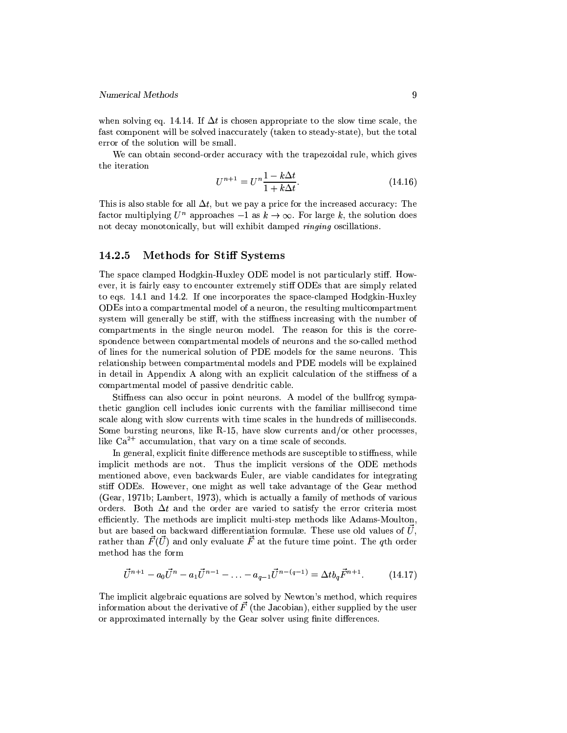when solving eq. 14.14. If  $\Delta t$  is chosen appropriate to the slow time scale, the fast component will be solved inaccurately (taken to steady-state), but the total error of the solution will be small.

We can obtain second-order accuracy with the trapezoidal rule, which gives the iteration

$$
U^{n+1} = U^n \frac{1 - k\Delta t}{1 + k\Delta t}.
$$
\n(14.16)

This is also stable for all  $\Delta t$ , but we pay a price for the increased accuracy: The factor multiplying  $U^n$  approaches  $-1$  as  $k \to \infty$ . For large k, the solution does not decay monotonically, but will exhibit damped *ringing* oscillations.

#### 14.2.5 **Methods for Stiff Systems**

The space clamped Hodgkin-Huxley ODE model is not particularly stiff. However, it is fairly easy to encounter extremely stiff ODEs that are simply related to eqs. 14.1 and 14.2. If one incorporates the space-clamped Hodgkin-Huxley ODEs into a compartmental model of a neuron, the resulting multicompartment system will generally be stiff, with the stiffness increasing with the number of compartments in the single neuron model. The reason for this is the correspondence between compartmental models of neurons and the so-called method of lines for the numerical solution of PDE models for the same neurons. This relationship between compartmental models and PDE models will be explained in detail in Appendix A along with an explicit calculation of the stiffness of a compartmental model of passive dendritic cable.

Stiffness can also occur in point neurons. A model of the bullfrog sympathetic ganglion cell includes ionic currents with the familiar millisecond time scale along with slow currents with time scales in the hundreds of milliseconds. Some bursting neurons, like  $R-15$ , have slow currents and/or other processes, like  $Ca^{2+}$  accumulation, that vary on a time scale of seconds.

In general, explicit finite difference methods are susceptible to stiffness, while implicit methods are not. Thus the implicit versions of the ODE methods mentioned above, even backwards Euler, are viable candidates for integrating stiff ODEs. However, one might as well take advantage of the Gear method (Gear, 1971b; Lambert, 1973), which is actually a family of methods of various orders. Both  $\Delta t$  and the order are varied to satisfy the error criteria most efficiently. The methods are implicit multi-step methods like Adams-Moulton, but are based on backward differentiation formulæ. These use old values of  $\vec{U}$ , rather than  $\vec{F}(\vec{U})$  and only evaluate  $\vec{F}$  at the future time point. The qth order method has the form

$$
\vec{U}^{n+1} - a_0 \vec{U}^n - a_1 \vec{U}^{n-1} - \dots - a_{q-1} \vec{U}^{n-(q-1)} = \Delta t b_q \vec{F}^{n+1}.
$$
 (14.17)

The implicit algebraic equations are solved by Newton's method, which requires information about the derivative of  $\vec{F}$  (the Jacobian), either supplied by the user or approximated internally by the Gear solver using finite differences.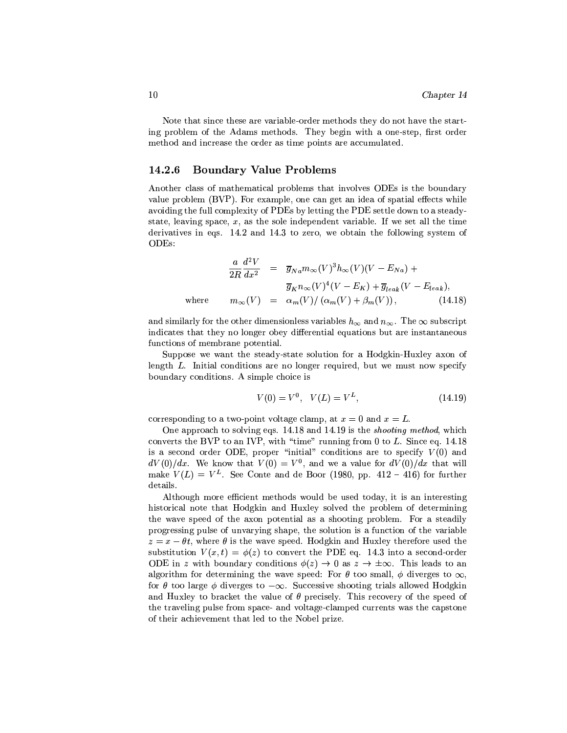Note that since these are variable-order methods they do not have the starting problem of the Adams methods. They begin with a one-step, first order method and increase the order as time points are accumulated.

#### **Boundary Value Problems** 14.2.6

Another class of mathematical problems that involves ODEs is the boundary value problem (BVP). For example, one can get an idea of spatial effects while avoiding the full complexity of PDEs by letting the PDE settle down to a steadystate, leaving space,  $x$ , as the sole independent variable. If we set all the time derivatives in eqs. 14.2 and 14.3 to zero, we obtain the following system of  $ODEs$ :

$$
\frac{a}{2R} \frac{d^2 V}{dx^2} = \overline{g}_{Na} m_{\infty}(V)^3 h_{\infty}(V)(V - E_{Na}) +
$$
  
\n
$$
\overline{g}_K n_{\infty}(V)^4 (V - E_K) + \overline{g}_{leak}(V - E_{leak}),
$$
  
\nwhere 
$$
m_{\infty}(V) = \alpha_m(V) / (\alpha_m(V) + \beta_m(V)), \qquad (14.18)
$$

and similarly for the other dimensionless variables  $h_{\infty}$  and  $n_{\infty}$ . The  $\infty$  subscript indicates that they no longer obey differential equations but are instantaneous functions of membrane potential.

Suppose we want the steady-state solution for a Hodgkin-Huxley axon of length L. Initial conditions are no longer required, but we must now specify boundary conditions. A simple choice is

$$
V(0) = V^0, \quad V(L) = V^L,\tag{14.19}
$$

corresponding to a two-point voltage clamp, at  $x = 0$  and  $x = L$ .

One approach to solving eqs. 14.18 and 14.19 is the *shooting method*, which converts the BVP to an IVP, with "time" running from 0 to  $L$ . Since eq. 14.18 is a second order ODE, proper "initial" conditions are to specify  $V(0)$  and  $dV(0)/dx$ . We know that  $V(0) = V^0$ , and we a value for  $dV(0)/dx$  that will make  $V(L) = V^L$ . See Conte and de Boor (1980, pp. 412 – 416) for further details.

Although more efficient methods would be used today, it is an interesting historical note that Hodgkin and Huxley solved the problem of determining the wave speed of the axon potential as a shooting problem. For a steadily progressing pulse of unvarying shape, the solution is a function of the variable  $z = x - \theta t$ , where  $\theta$  is the wave speed. Hodgkin and Huxley therefore used the substitution  $V(x,t) = \phi(z)$  to convert the PDE eq. 14.3 into a second-order ODE in z with boundary conditions  $\phi(z) \to 0$  as  $z \to \pm \infty$ . This leads to an algorithm for determining the wave speed: For  $\theta$  too small,  $\phi$  diverges to  $\infty$ , for  $\theta$  too large  $\phi$  diverges to  $-\infty$ . Successive shooting trials allowed Hodgkin and Huxley to bracket the value of  $\theta$  precisely. This recovery of the speed of the traveling pulse from space- and voltage-clamped currents was the capstone of their achievement that led to the Nobel prize.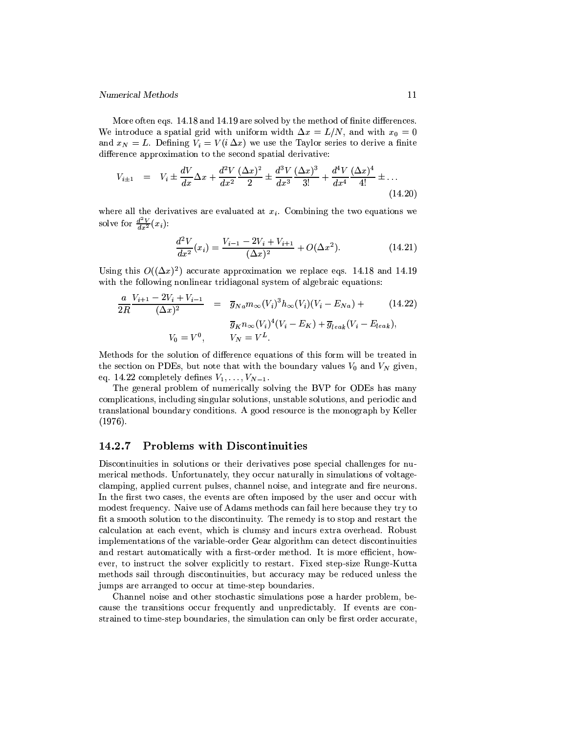More often eqs. 14.18 and 14.19 are solved by the method of finite differences. We introduce a spatial grid with uniform width  $\Delta x = L/N$ , and with  $x_0 = 0$ and  $x_N = L$ . Defining  $V_i = V(i \Delta x)$  we use the Taylor series to derive a finite difference approximation to the second spatial derivative:

$$
V_{i\pm 1} = V_i \pm \frac{dV}{dx} \Delta x + \frac{d^2V}{dx^2} \frac{(\Delta x)^2}{2} \pm \frac{d^3V}{dx^3} \frac{(\Delta x)^3}{3!} + \frac{d^4V}{dx^4} \frac{(\Delta x)^4}{4!} \pm \dots
$$
\n(14.20)

where all the derivatives are evaluated at  $x_i$ . Combining the two equations we solve for  $\frac{d^2V}{dx^2}(x_i)$ :

$$
\frac{d^2V}{dx^2}(x_i) = \frac{V_{i-1} - 2V_i + V_{i+1}}{(\Delta x)^2} + O(\Delta x^2).
$$
 (14.21)

Using this  $O((\Delta x)^2)$  accurate approximation we replace eqs. 14.18 and 14.19 with the following nonlinear tridiagonal system of algebraic equations:

$$
\frac{a}{2R} \frac{V_{i+1} - 2V_i + V_{i-1}}{(\Delta x)^2} = \overline{g}_{N} a m_{\infty}(V_i)^3 h_{\infty}(V_i) (V_i - E_{Na}) +
$$
\n
$$
\overline{g}_K n_{\infty}(V_i)^4 (V_i - E_K) + \overline{g}_{leak}(V_i - E_{leak}),
$$
\n
$$
V_0 = V^0, \qquad V_N = V^L.
$$
\n(14.22)

Methods for the solution of difference equations of this form will be treated in the section on PDEs, but note that with the boundary values  $V_0$  and  $V_N$  given, eq. 14.22 completely defines  $V_1, \ldots, V_{N-1}$ .

The general problem of numerically solving the BVP for ODEs has many complications, including singular solutions, unstable solutions, and periodic and translational boundary conditions. A good resource is the monograph by Keller  $(1976).$ 

#### 14.2.7 **Problems with Discontinuities**

Discontinuities in solutions or their derivatives pose special challenges for numerical methods. Unfortunately, they occur naturally in simulations of voltageclamping, applied current pulses, channel noise, and integrate and fire neurons. In the first two cases, the events are often imposed by the user and occur with modest frequency. Naive use of Adams methods can fail here because they try to fit a smooth solution to the discontinuity. The remedy is to stop and restart the calculation at each event, which is clumsy and incurs extra overhead. Robust implementations of the variable-order Gear algorithm can detect discontinuities and restart automatically with a first-order method. It is more efficient, however, to instruct the solver explicitly to restart. Fixed step-size Runge-Kutta methods sail through discontinuities, but accuracy may be reduced unless the jumps are arranged to occur at time-step boundaries.

Channel noise and other stochastic simulations pose a harder problem, because the transitions occur frequently and unpredictably. If events are constrained to time-step boundaries, the simulation can only be first order accurate,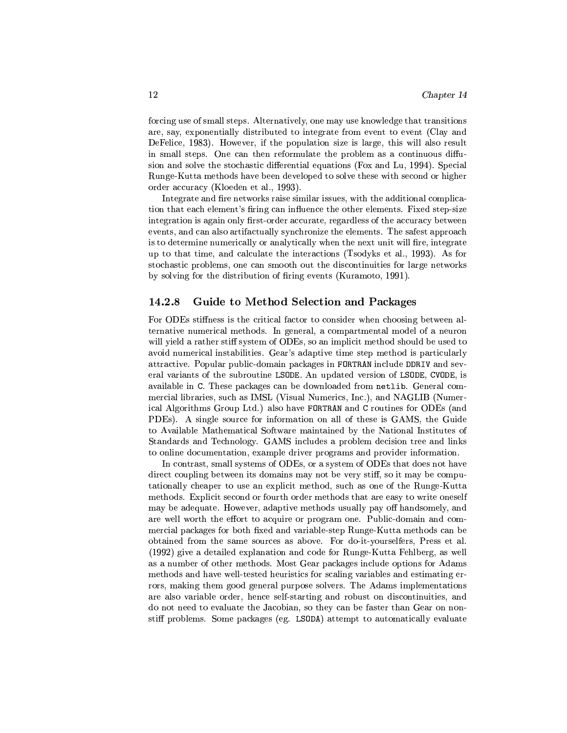forcing use of small steps. Alternatively, one may use knowledge that transitions are, say, exponentially distributed to integrate from event to event (Clay and DeFelice, 1983). However, if the population size is large, this will also result in small steps. One can then reformulate the problem as a continuous diffusion and solve the stochastic differential equations (Fox and Lu, 1994). Special Runge-Kutta methods have been developed to solve these with second or higher order accuracy (Kloeden et al., 1993).

Integrate and fire networks raise similar issues, with the additional complication that each element's firing can influence the other elements. Fixed step-size integration is again only first-order accurate, regardless of the accuracy between events, and can also artifactually synchronize the elements. The safest approach is to determine numerically or analytically when the next unit will fire, integrate up to that time, and calculate the interactions (Tsodyks et al., 1993). As for stochastic problems, one can smooth out the discontinuities for large networks by solving for the distribution of firing events (Kuramoto, 1991).

#### Guide to Method Selection and Packages  $14.2.8$

For ODEs stiffness is the critical factor to consider when choosing between alternative numerical methods. In general, a compartmental model of a neuron will yield a rather stiff system of ODEs, so an implicit method should be used to avoid numerical instabilities. Gear's adaptive time step method is particularly attractive. Popular public-domain packages in FORTRAN include DDRIV and several variants of the subroutine LSODE. An updated version of LSODE, CVODE, is available in C. These packages can be downloaded from netlib. General commercial libraries, such as IMSL (Visual Numerics, Inc.), and NAGLIB (Numerical Algorithms Group Ltd.) also have FORTRAN and C routines for ODEs (and PDEs). A single source for information on all of these is GAMS, the Guide to Available Mathematical Software maintained by the National Institutes of Standards and Technology. GAMS includes a problem decision tree and links to online documentation, example driver programs and provider information.

In contrast, small systems of ODEs, or a system of ODEs that does not have direct coupling between its domains may not be very stiff, so it may be computationally cheaper to use an explicit method, such as one of the Runge-Kutta methods. Explicit second or fourth order methods that are easy to write oneself may be adequate. However, adaptive methods usually pay off handsomely, and are well worth the effort to acquire or program one. Public-domain and commercial packages for both fixed and variable-step Runge-Kutta methods can be obtained from the same sources as above. For do-it-yourselfers, Press et al. (1992) give a detailed explanation and code for Runge-Kutta Fehlberg, as well as a number of other methods. Most Gear packages include options for Adams methods and have well-tested heuristics for scaling variables and estimating errors, making them good general purpose solvers. The Adams implementations are also variable order, hence self-starting and robust on discontinuities, and do not need to evaluate the Jacobian, so they can be faster than Gear on nonstiff problems. Some packages (eg. LSODA) attempt to automatically evaluate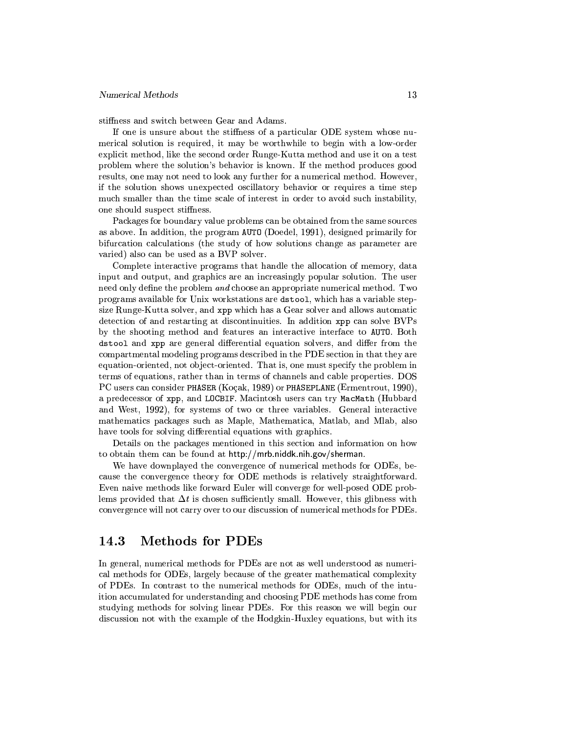stiffness and switch between Gear and Adams.

If one is unsure about the stiffness of a particular ODE system whose numerical solution is required, it may be worthwhile to begin with a low-order explicit method, like the second order Runge-Kutta method and use it on a test problem where the solution's behavior is known. If the method produces good results, one may not need to look any further for a numerical method. However, if the solution shows unexpected oscillatory behavior or requires a time step much smaller than the time scale of interest in order to avoid such instability, one should suspect stiffness.

Packages for boundary value problems can be obtained from the same sources as above. In addition, the program AUTO (Doedel, 1991), designed primarily for bifurcation calculations (the study of how solutions change as parameter are varied) also can be used as a BVP solver.

Complete interactive programs that handle the allocation of memory, data input and output, and graphics are an increasingly popular solution. The user need only define the problem and choose an appropriate numerical method. Two programs available for Unix workstations are dstool, which has a variable stepsize Runge-Kutta solver, and xpp which has a Gear solver and allows automatic detection of and restarting at discontinuities. In addition xpp can solve BVPs by the shooting method and features an interactive interface to AUTO. Both dstool and xpp are general differential equation solvers, and differ from the compartmental modeling programs described in the PDE section in that they are equation-oriented, not object-oriented. That is, one must specify the problem in terms of equations, rather than in terms of channels and cable properties. DOS PC users can consider PHASER (Koçak, 1989) or PHASEPLANE (Ermentrout, 1990), a predecessor of xpp. and LOCBIF. Macintosh users can try MacMath (Hubbard and West, 1992), for systems of two or three variables. General interactive mathematics packages such as Maple, Mathematica, Matlab, and Mlab, also have tools for solving differential equations with graphics.

Details on the packages mentioned in this section and information on how to obtain them can be found at http://mrb.niddk.nih.gov/sherman.

We have downplayed the convergence of numerical methods for ODEs, because the convergence theory for ODE methods is relatively straightforward. Even naive methods like forward Euler will converge for well-posed ODE problems provided that  $\Delta t$  is chosen sufficiently small. However, this glibness with convergence will not carry over to our discussion of numerical methods for PDEs.

#### **Methods for PDEs** 14.3

In general, numerical methods for PDEs are not as well understood as numerical methods for ODEs, largely because of the greater mathematical complexity of PDEs. In contrast to the numerical methods for ODEs, much of the intuition accumulated for understanding and choosing PDE methods has come from studying methods for solving linear PDEs. For this reason we will begin our discussion not with the example of the Hodgkin-Huxley equations, but with its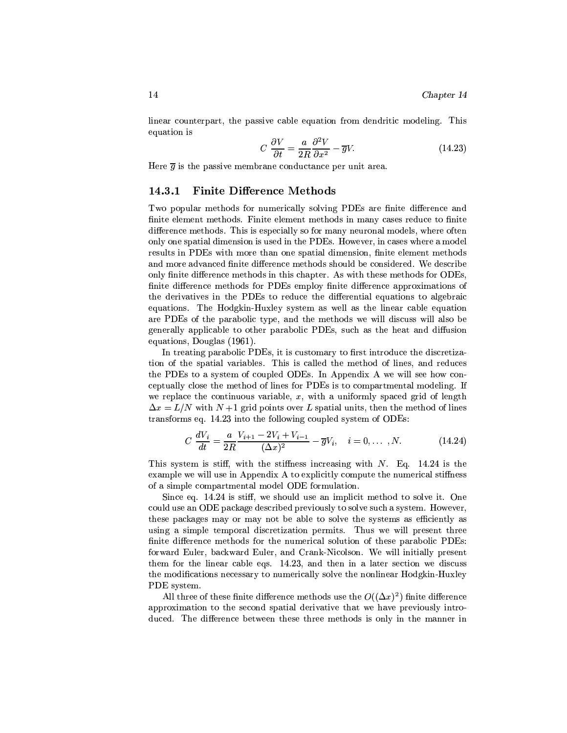linear counterpart, the passive cable equation from dendritic modeling. This equation is

$$
C\ \frac{\partial V}{\partial t} = \frac{a}{2R}\frac{\partial^2 V}{\partial x^2} - \overline{g}V.\tag{14.23}
$$

Here  $\overline{g}$  is the passive membrane conductance per unit area.

#### **Finite Difference Methods** 14.3.1

Two popular methods for numerically solving PDEs are finite difference and finite element methods. Finite element methods in many cases reduce to finite difference methods. This is especially so for many neuronal models, where often only one spatial dimension is used in the PDEs. However, in cases where a model results in PDEs with more than one spatial dimension, finite element methods and more advanced finite difference methods should be considered. We describe only finite difference methods in this chapter. As with these methods for ODEs, finite difference methods for PDEs employ finite difference approximations of the derivatives in the PDEs to reduce the differential equations to algebraic equations. The Hodgkin-Huxley system as well as the linear cable equation are PDEs of the parabolic type, and the methods we will discuss will also be generally applicable to other parabolic PDEs, such as the heat and diffusion equations, Douglas (1961).

In treating parabolic PDEs, it is customary to first introduce the discretization of the spatial variables. This is called the method of lines, and reduces the PDEs to a system of coupled ODEs. In Appendix A we will see how conceptually close the method of lines for PDEs is to compartmental modeling. If we replace the continuous variable,  $x$ , with a uniformly spaced grid of length  $\Delta x = L/N$  with  $N+1$  grid points over L spatial units, then the method of lines transforms eq. 14.23 into the following coupled system of ODEs:

$$
C\frac{dV_i}{dt} = \frac{a}{2R} \frac{V_{i+1} - 2V_i + V_{i-1}}{(\Delta x)^2} - \overline{g}V_i, \quad i = 0, ..., N.
$$
 (14.24)

This system is stiff, with the stiffness increasing with  $N$ . Eq. 14.24 is the example we will use in Appendix A to explicitly compute the numerical stiffness of a simple compartmental model ODE formulation.

Since eq. 14.24 is stiff, we should use an implicit method to solve it. One could use an ODE package described previously to solve such a system. However, these packages may or may not be able to solve the systems as efficiently as using a simple temporal discretization permits. Thus we will present three finite difference methods for the numerical solution of these parabolic PDEs: forward Euler, backward Euler, and Crank-Nicolson. We will initially present them for the linear cable eqs. 14.23, and then in a later section we discuss the modifications necessary to numerically solve the nonlinear Hodgkin-Huxley PDE system.

All three of these finite difference methods use the  $O((\Delta x)^2)$  finite difference approximation to the second spatial derivative that we have previously introduced. The difference between these three methods is only in the manner in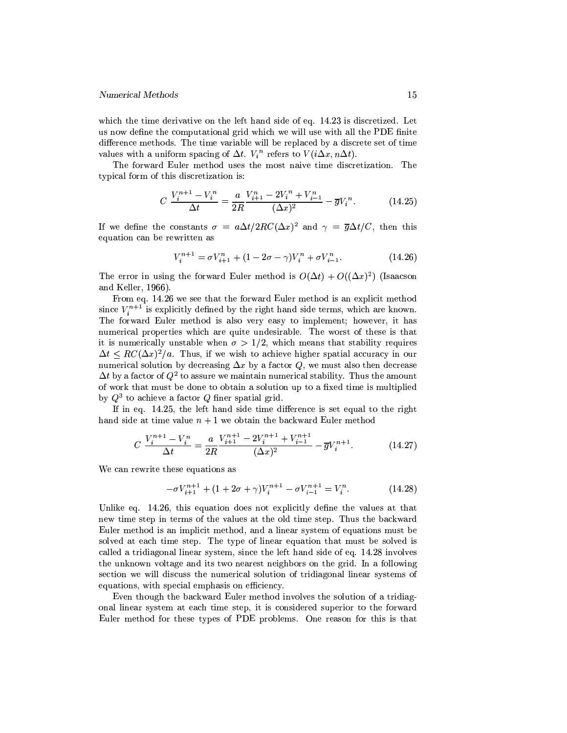which the time derivative on the left hand side of eq. 14.23 is discretized. Let us now define the computational grid which we will use with all the PDE finite difference methods. The time variable will be replaced by a discrete set of time values with a uniform spacing of  $\Delta t$ .  $V_i^n$  refers to  $V(i\Delta x, n\Delta t)$ .

The forward Euler method uses the most naive time discretization. The typical form of this discretization is:

$$
C\,\frac{V_i^{n+1} - V_i^n}{\Delta t} = \frac{a}{2R} \frac{V_{i+1}^n - 2V_i^n + V_{i-1}^n}{(\Delta x)^2} - \overline{g}V_i^n. \tag{14.25}
$$

If we define the constants  $\sigma = a\Delta t/2RC(\Delta x)^2$  and  $\gamma = \overline{g}\Delta t/C$ , then this equation can be rewritten as

$$
V_i^{n+1} = \sigma V_{i+1}^n + (1 - 2\sigma - \gamma)V_i^n + \sigma V_{i-1}^n.
$$
 (14.26)

The error in using the forward Euler method is  $O(\Delta t) + O((\Delta x)^2)$  (Isaacson and Keller,  $1966$ ).

From eq. 14.26 we see that the forward Euler method is an explicit method since  $V_i^{n+1}$  is explicitly defined by the right hand side terms, which are known. The forward Euler method is also very easy to implement; however, it has numerical properties which are quite undesirable. The worst of these is that it is numerically unstable when  $\sigma > 1/2$ , which means that stability requires  $\Delta t \leq RC(\Delta x)^2/a$ . Thus, if we wish to achieve higher spatial accuracy in our numerical solution by decreasing  $\Delta x$  by a factor Q, we must also then decrease  $\Delta t$  by a factor of  $Q^2$  to assure we maintain numerical stability. Thus the amount of work that must be done to obtain a solution up to a fixed time is multiplied by  $Q^3$  to achieve a factor Q finer spatial grid.

If in eq. 14.25, the left hand side time difference is set equal to the right hand side at time value  $n + 1$  we obtain the backward Euler method

$$
C\,\frac{V_i^{n+1} - V_i^n}{\Delta t} = \frac{a}{2R} \frac{V_{i+1}^{n+1} - 2V_i^{n+1} + V_{i-1}^{n+1}}{(\Delta x)^2} - \overline{g}V_i^{n+1}.\tag{14.27}
$$

We can rewrite these equations as

$$
-\sigma V_{i+1}^{n+1} + (1 + 2\sigma + \gamma)V_i^{n+1} - \sigma V_{i-1}^{n+1} = V_i^n.
$$
 (14.28)

Unlike eq. 14.26, this equation does not explicitly define the values at that new time step in terms of the values at the old time step. Thus the backward Euler method is an implicit method, and a linear system of equations must be solved at each time step. The type of linear equation that must be solved is called a tridiagonal linear system, since the left hand side of eq. 14.28 involves the unknown voltage and its two nearest neighbors on the grid. In a following section we will discuss the numerical solution of tridiagonal linear systems of equations, with special emphasis on efficiency.

Even though the backward Euler method involves the solution of a tridiagonal linear system at each time step, it is considered superior to the forward Euler method for these types of PDE problems. One reason for this is that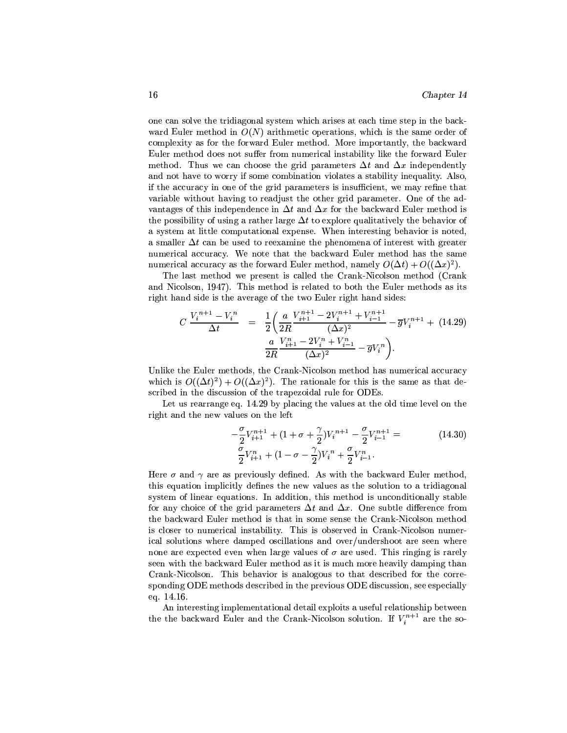one can solve the tridiagonal system which arises at each time step in the backward Euler method in  $O(N)$  arithmetic operations, which is the same order of complexity as for the forward Euler method. More importantly, the backward Euler method does not suffer from numerical instability like the forward Euler method. Thus we can choose the grid parameters  $\Delta t$  and  $\Delta x$  independently and not have to worry if some combination violates a stability inequality. Also, if the accuracy in one of the grid parameters is insufficient, we may refine that variable without having to readjust the other grid parameter. One of the advantages of this independence in  $\Delta t$  and  $\Delta x$  for the backward Euler method is the possibility of using a rather large  $\Delta t$  to explore qualitatively the behavior of a system at little computational expense. When interesting behavior is noted. a smaller  $\Delta t$  can be used to reexamine the phenomena of interest with greater numerical accuracy. We note that the backward Euler method has the same numerical accuracy as the forward Euler method, namely  $O(\Delta t) + O((\Delta x)^2)$ .

The last method we present is called the Crank-Nicolson method (Crank and Nicolson, 1947). This method is related to both the Euler methods as its right hand side is the average of the two Euler right hand sides:

$$
C \frac{V_i^{n+1} - V_i^n}{\Delta t} = \frac{1}{2} \left( \frac{a}{2R} \frac{V_{i+1}^{n+1} - 2V_i^{n+1} + V_{i-1}^{n+1}}{(\Delta x)^2} - \overline{g} V_i^{n+1} + (14.29) \frac{a}{2R} \frac{V_{i+1}^n - 2V_i^n + V_{i-1}^n}{(\Delta x)^2} - \overline{g} V_i^n \right).
$$

Unlike the Euler methods, the Crank-Nicolson method has numerical accuracy which is  $O((\Delta t)^2) + O((\Delta x)^2)$ . The rationale for this is the same as that described in the discussion of the trapezoidal rule for ODEs.

Let us rearrange eq. 14.29 by placing the values at the old time level on the right and the new values on the left

$$
-\frac{\sigma}{2}V_{i+1}^{n+1} + (1 + \sigma + \frac{\gamma}{2})V_i^{n+1} - \frac{\sigma}{2}V_{i-1}^{n+1} =
$$
\n
$$
\frac{\sigma}{2}V_{i+1}^{n} + (1 - \sigma - \frac{\gamma}{2})V_i^{n} + \frac{\sigma}{2}V_{i-1}^{n}.
$$
\n(14.30)

Here  $\sigma$  and  $\gamma$  are as previously defined. As with the backward Euler method, this equation implicitly defines the new values as the solution to a tridiagonal system of linear equations. In addition, this method is unconditionally stable for any choice of the grid parameters  $\Delta t$  and  $\Delta x$ . One subtle difference from the backward Euler method is that in some sense the Crank-Nicolson method is closer to numerical instability. This is observed in Crank-Nicolson numerical solutions where damped oscillations and over/undershoot are seen where none are expected even when large values of  $\sigma$  are used. This ringing is rarely seen with the backward Euler method as it is much more heavily damping than Crank-Nicolson. This behavior is analogous to that described for the corresponding ODE methods described in the previous ODE discussion, see especially eq. 14.16.

An interesting implementational detail exploits a useful relationship between the the backward Euler and the Crank-Nicolson solution. If  $V_i^{n+1}$  are the so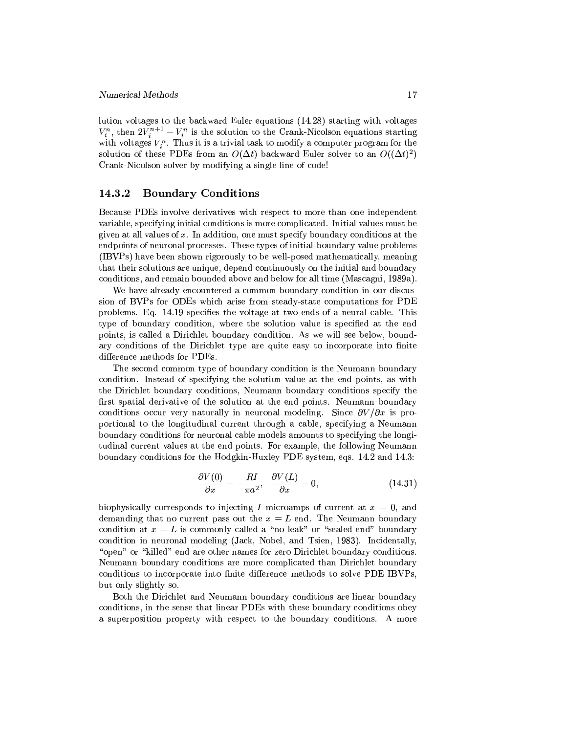lution voltages to the backward Euler equations (14.28) starting with voltages  $V_i^n$ , then  $2V_i^{n+1} - V_i^n$  is the solution to the Crank-Nicolson equations starting with voltages  $V_i^n$ . Thus it is a trivial task to modify a computer program for the solution of these PDEs from an  $O(\Delta t)$  backward Euler solver to an  $O((\Delta t)^2)$ Crank-Nicolson solver by modifying a single line of code!

#### 14.3.2 **Boundary Conditions**

Because PDEs involve derivatives with respect to more than one independent variable, specifying initial conditions is more complicated. Initial values must be given at all values of  $x$ . In addition, one must specify boundary conditions at the endpoints of neuronal processes. These types of initial-boundary value problems (IBVPs) have been shown rigorously to be well-posed mathematically, meaning that their solutions are unique, depend continuously on the initial and boundary conditions, and remain bounded above and below for all time (Mascagni, 1989a).

We have already encountered a common boundary condition in our discussion of BVPs for ODEs which arise from steady-state computations for PDE problems. Eq. 14.19 specifies the voltage at two ends of a neural cable. This type of boundary condition, where the solution value is specified at the end points, is called a Dirichlet boundary condition. As we will see below, boundary conditions of the Dirichlet type are quite easy to incorporate into finite difference methods for PDEs.

The second common type of boundary condition is the Neumann boundary condition. Instead of specifying the solution value at the end points, as with the Dirichlet boundary conditions, Neumann boundary conditions specify the first spatial derivative of the solution at the end points. Neumann boundary conditions occur very naturally in neuronal modeling. Since  $\partial V/\partial x$  is proportional to the longitudinal current through a cable, specifying a Neumann boundary conditions for neuronal cable models amounts to specifying the longtudinal current values at the end points. For example, the following Neumann boundary conditions for the Hodgkin-Huxley PDE system, eqs. 14.2 and 14.3:

$$
\frac{\partial V(0)}{\partial x} = -\frac{RI}{\pi a^2}, \quad \frac{\partial V(L)}{\partial x} = 0,
$$
\n(14.31)

biophysically corresponds to injecting I microamps of current at  $x = 0$ , and demanding that no current pass out the  $x = L$  end. The Neumann boundary condition at  $x = L$  is commonly called a "no leak" or "sealed end" boundary condition in neuronal modeling (Jack, Nobel, and Tsien, 1983). Incidentally, "open" or "killed" end are other names for zero Dirichlet boundary conditions. Neumann boundary conditions are more complicated than Dirichlet boundary conditions to incorporate into finite difference methods to solve PDE IBVPs, but only slightly so.

Both the Dirichlet and Neumann boundary conditions are linear boundary conditions, in the sense that linear PDEs with these boundary conditions obey a superposition property with respect to the boundary conditions. A more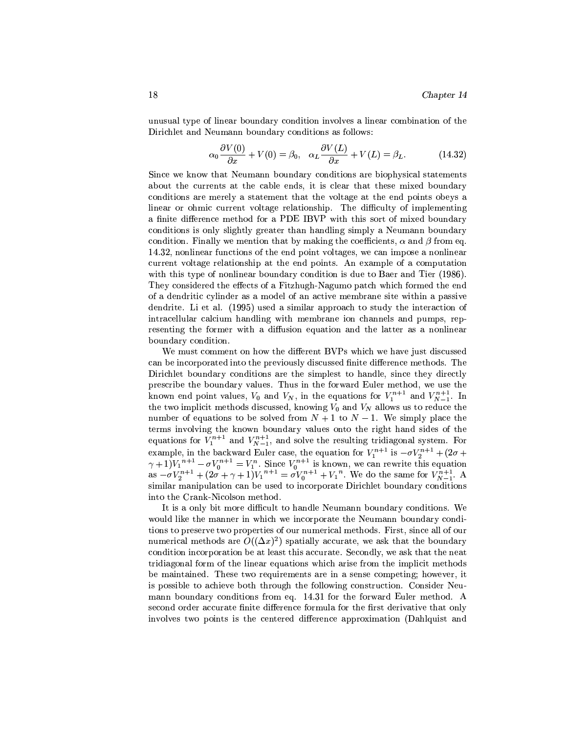unusual type of linear boundary condition involves a linear combination of the Dirichlet and Neumann boundary conditions as follows:

$$
\alpha_0 \frac{\partial V(0)}{\partial x} + V(0) = \beta_0, \quad \alpha_L \frac{\partial V(L)}{\partial x} + V(L) = \beta_L.
$$
 (14.32)

Since we know that Neumann boundary conditions are biophysical statements about the currents at the cable ends, it is clear that these mixed boundary conditions are merely a statement that the voltage at the end points obeys a linear or ohmic current voltage relationship. The difficulty of implementing a finite difference method for a PDE IBVP with this sort of mixed boundary conditions is only slightly greater than handling simply a Neumann boundary condition. Finally we mention that by making the coefficients,  $\alpha$  and  $\beta$  from eq. 14.32, nonlinear functions of the end point voltages, we can impose a nonlinear current voltage relationship at the end points. An example of a computation with this type of nonlinear boundary condition is due to Baer and Tier (1986). They considered the effects of a Fitzhugh-Nagumo patch which formed the end of a dendritic cylinder as a model of an active membrane site within a passive dendrite. Li et al. (1995) used a similar approach to study the interaction of intracellular calcium handling with membrane ion channels and pumps, representing the former with a diffusion equation and the latter as a nonlinear boundary condition.

We must comment on how the different BVPs which we have just discussed can be incorporated into the previously discussed finite difference methods. The Dirichlet boundary conditions are the simplest to handle, since they directly prescribe the boundary values. Thus in the forward Euler method, we use the known end point values,  $V_0$  and  $V_N$ , in the equations for  $V_1^{n+1}$  and  $V_{N-1}^{n+1}$ . In the two implicit methods discussed, knowing  $V_0$  and  $V_N$  allows us to reduce the number of equations to be solved from  $N + 1$  to  $N - 1$ . We simply place the terms involving the known boundary values onto the right hand sides of the equations for  $\tilde{V}_1^{n+1}$  and  $V_{N-1}^{n+1}$ , and solve the resulting tridiagonal system. For example, in the backward Euler case, the equation for  $V_1^{n+1}$  is  $-\sigma V_2^{n+1} + (2\sigma + \gamma + 1)V_1^{n+1} - \sigma V_0^{n+1} = V_1^n$ . Since  $V_0^{n+1}$  is known, we can rewrite this equation as  $-\sigma V_2^{n+1} + (2\sigma + \gamma + 1)V_1^{n+1} = \sigma V_0^{n+1} + V_1$ similar manipulation can be used to incorporate Dirichlet boundary conditions into the Crank-Nicolson method.

It is a only bit more difficult to handle Neumann boundary conditions. We would like the manner in which we incorporate the Neumann boundary conditions to preserve two properties of our numerical methods. First, since all of our numerical methods are  $O((\Delta x)^2)$  spatially accurate, we ask that the boundary condition incorporation be at least this accurate. Secondly, we ask that the neat tridiagonal form of the linear equations which arise from the implicit methods be maintained. These two requirements are in a sense competing; however, it is possible to achieve both through the following construction. Consider Neumann boundary conditions from eq. 14.31 for the forward Euler method. A second order accurate finite difference formula for the first derivative that only involves two points is the centered difference approximation (Dahlquist and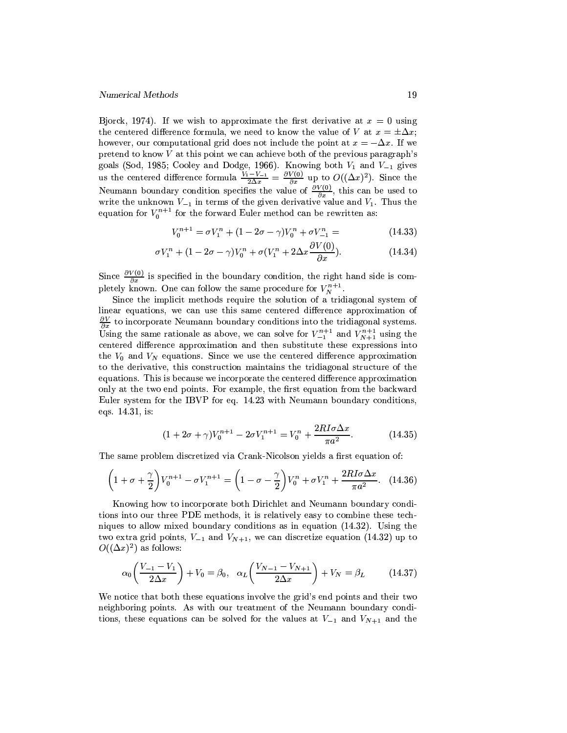Bjorck, 1974). If we wish to approximate the first derivative at  $x = 0$  using the centered difference formula, we need to know the value of V at  $x = \pm \Delta x$ ; however, our computational grid does not include the point at  $x = -\Delta x$ . If we pretend to know  $V$  at this point we can achieve both of the previous paragraph's goals (Sod, 1985; Cooley and Dodge, 1966). Knowing both  $V_1$  and  $V_{-1}$  gives<br>us the centered difference formula  $\frac{V_1 - V_{-1}}{2\Delta x} = \frac{\partial V(0)}{\partial x}$  up to  $O((\Delta x)^2)$ . Since the<br>Neumann boundary condition specifies the val write the unknown  $V_{-1}$  in terms of the given derivative value and  $V_1$ . Thus the equation for  $V_0^{n+1}$  for the forward Euler method can be rewritten as:

$$
V_0^{n+1} = \sigma V_1^n + (1 - 2\sigma - \gamma)V_0^n + \sigma V_{-1}^n = \tag{14.33}
$$

$$
\sigma V_1^n + (1 - 2\sigma - \gamma)V_0^n + \sigma (V_1^n + 2\Delta x \frac{\partial V(0)}{\partial x}).
$$
\n(14.34)

Since  $\frac{\partial V(0)}{\partial x}$  is specified in the boundary condition, the right hand side is completely known. One can follow the same procedure for  $V_N^{n+1}$ .

Since the implicit methods require the solution of a tridiagonal system of linear equations, we can use this same centered difference approximation of  $\frac{\partial V}{\partial x}$  to incorporate Neumann boundary conditions into the tridiagonal systems. Using the same rationale as above, we can solve for  $V_{-1}^{n+1}$  and  $V_{N+1}^{n+1}$  using the centered difference approximation and then substitute these expressions into the  $V_0$  and  $V_N$  equations. Since we use the centered difference approximation to the derivative, this construction maintains the tridiagonal structure of the equations. This is because we incorporate the centered difference approximation only at the two end points. For example, the first equation from the backward Euler system for the IBVP for eq. 14.23 with Neumann boundary conditions. eqs. 14.31, is:

$$
(1 + 2\sigma + \gamma)V_0^{n+1} - 2\sigma V_1^{n+1} = V_0^n + \frac{2RI\sigma\Delta x}{\pi a^2}.
$$
 (14.35)

The same problem discretized via Crank-Nicolson yields a first equation of:

$$
\left(1+\sigma+\frac{\gamma}{2}\right)V_0^{n+1}-\sigma V_1^{n+1}=\left(1-\sigma-\frac{\gamma}{2}\right)V_0^n+\sigma V_1^n+\frac{2RI\sigma\Delta x}{\pi a^2}.\quad(14.36)
$$

Knowing how to incorporate both Dirichlet and Neumann boundary conditions into our three PDE methods, it is relatively easy to combine these techniques to allow mixed boundary conditions as in equation  $(14.32)$ . Using the two extra grid points,  $V_{-1}$  and  $V_{N+1}$ , we can discretize equation (14.32) up to  $O((\Delta x)^2)$  as follows:

$$
\alpha_0 \left( \frac{V_{-1} - V_1}{2\Delta x} \right) + V_0 = \beta_0, \quad \alpha_L \left( \frac{V_{N-1} - V_{N+1}}{2\Delta x} \right) + V_N = \beta_L \tag{14.37}
$$

We notice that both these equations involve the grid's end points and their two neighboring points. As with our treatment of the Neumann boundary conditions, these equations can be solved for the values at  $V_{-1}$  and  $V_{N+1}$  and the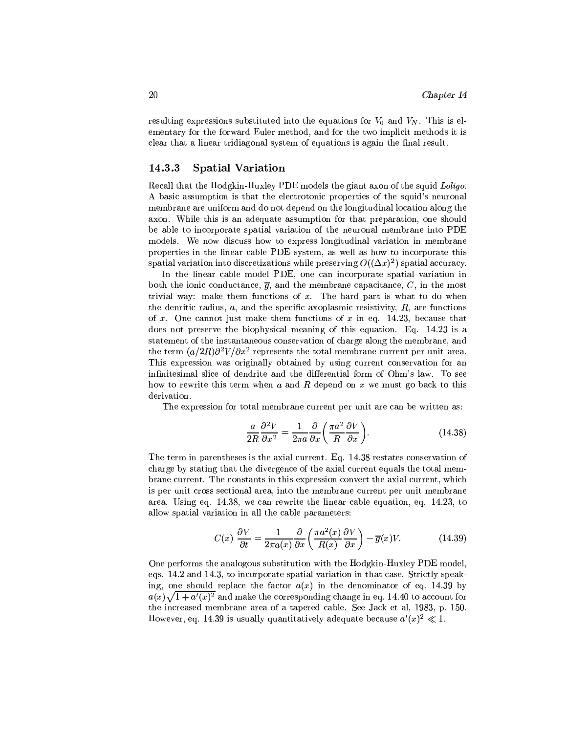resulting expressions substituted into the equations for  $V_0$  and  $V_N$ . This is elementary for the forward Euler method, and for the two implicit methods it is clear that a linear tridiagonal system of equations is again the final result.

#### **Spatial Variation**  $14.3.3$

Recall that the Hodgkin-Huxley PDE models the giant axon of the squid Loligo. A basic assumption is that the electrotonic properties of the squid's neuronal membrane are uniform and do not depend on the longitudinal location along the axon. While this is an adequate assumption for that preparation, one should be able to incorporate spatial variation of the neuronal membrane into PDE models. We now discuss how to express longitudinal variation in membrane properties in the linear cable PDE system, as well as how to incorporate this spatial variation into discretizations while preserving  $O((\Delta x)^2)$  spatial accuracy.

In the linear cable model PDE, one can incorporate spatial variation in both the ionic conductance,  $\overline{g}$ , and the membrane capacitance, C, in the most trivial way: make them functions of  $x$ . The hard part is what to do when the denritic radius,  $a$ , and the specific axoplasmic resistivity,  $R$ , are functions of x. One cannot just make them functions of x in eq. 14.23, because that does not preserve the biophysical meaning of this equation. Eq. 14.23 is a statement of the instantaneous conservation of charge along the membrane, and the term  $(a/2R)\partial^2 V/\partial x^2$  represents the total membrane current per unit area. This expression was originally obtained by using current conservation for an infinitesimal slice of dendrite and the differential form of Ohm's law. To see how to rewrite this term when  $a$  and  $R$  depend on  $x$  we must go back to this derivation.

The expression for total membrane current per unit are can be written as:

$$
\frac{a}{2R}\frac{\partial^2 V}{\partial x^2} = \frac{1}{2\pi a} \frac{\partial}{\partial x} \left(\frac{\pi a^2}{R}\frac{\partial V}{\partial x}\right).
$$
 (14.38)

The term in parentheses is the axial current. Eq. 14.38 restates conservation of charge by stating that the divergence of the axial current equals the total membrane current. The constants in this expression convert the axial current, which is per unit cross sectional area, into the membrane current per unit membrane area. Using eq. 14.38, we can rewrite the linear cable equation, eq. 14.23, to allow spatial variation in all the cable parameters:

$$
C(x)\frac{\partial V}{\partial t} = \frac{1}{2\pi a(x)}\frac{\partial}{\partial x}\left(\frac{\pi a^2(x)}{R(x)}\frac{\partial V}{\partial x}\right) - \overline{g}(x)V.
$$
 (14.39)

One performs the analogous substitution with the Hodgkin-Huxley PDE model, eqs. 14.2 and 14.3, to incorporate spatial variation in that case. Strictly speaking, one should replace the factor  $a(x)$  in the denominator of eq. 14.39 by  $a(x)\sqrt{1+a'(x)^2}$  and make the corresponding change in eq. 14.40 to account for the increased membrane area of a tapered cable. See Jack et al, 1983, p. 150. However, eq. 14.39 is usually quantitatively adequate because  $a'(x)^2 \ll 1$ .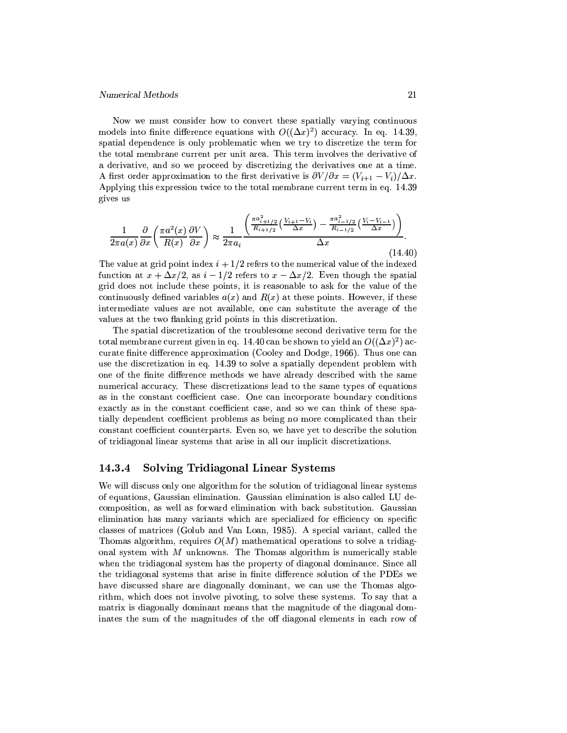Now we must consider how to convert these spatially varying continuous models into finite difference equations with  $O((\Delta x)^2)$  accuracy. In eq. 14.39, spatial dependence is only problematic when we try to discretize the term for the total membrane current per unit area. This term involves the derivative of a derivative, and so we proceed by discretizing the derivatives one at a time. A first order approximation to the first derivative is  $\partial V/\partial x = (V_{i+1} - V_i)/\Delta x$ . Applying this expression twice to the total membrane current term in eq. 14.39 gives us

$$
\frac{1}{2\pi a(x)}\frac{\partial}{\partial x}\left(\frac{\pi a^2(x)}{R(x)}\frac{\partial V}{\partial x}\right) \approx \frac{1}{2\pi a_i} \frac{\left(\frac{\pi a_{i+1/2}^2}{R_{i+1/2}}\left(\frac{V_{i+1}-V_i}{\Delta x}\right) - \frac{\pi a_{i-1/2}^2}{R_{i-1/2}}\left(\frac{V_i-V_{i-1}}{\Delta x}\right)\right)}{\Delta x}.
$$
\n(14.40)

The value at grid point index  $i + 1/2$  refers to the numerical value of the indexed function at  $x + \Delta x/2$ , as  $i - 1/2$  refers to  $x - \Delta x/2$ . Even though the spatial grid does not include these points, it is reasonable to ask for the value of the continuously defined variables  $a(x)$  and  $R(x)$  at these points. However, if these intermediate values are not available, one can substitute the average of the values at the two flanking grid points in this discretization.

The spatial discretization of the troublesome second derivative term for the total membrane current given in eq. 14.40 can be shown to yield an  $O((\Delta x)^2)$  accurate finite difference approximation (Cooley and Dodge, 1966). Thus one can use the discretization in eq. 14.39 to solve a spatially dependent problem with one of the finite difference methods we have already described with the same numerical accuracy. These discretizations lead to the same types of equations as in the constant coefficient case. One can incorporate boundary conditions exactly as in the constant coefficient case, and so we can think of these spatially dependent coefficient problems as being no more complicated than their constant coefficient counterparts. Even so, we have yet to describe the solution of tridiagonal linear systems that arise in all our implicit discretizations.

#### 14.3.4 **Solving Tridiagonal Linear Systems**

We will discuss only one algorithm for the solution of tridiagonal linear systems of equations, Gaussian elimination. Gaussian elimination is also called LU decomposition, as well as forward elimination with back substitution. Gaussian elimination has many variants which are specialized for efficiency on specific classes of matrices (Golub and Van Loan, 1985). A special variant, called the Thomas algorithm, requires  $O(M)$  mathematical operations to solve a tridiagonal system with  $M$  unknowns. The Thomas algorithm is numerically stable when the tridiagonal system has the property of diagonal dominance. Since all the tridiagonal systems that arise in finite difference solution of the PDEs we have discussed share are diagonally dominant, we can use the Thomas algorithm, which does not involve pivoting, to solve these systems. To say that a matrix is diagonally dominant means that the magnitude of the diagonal dominates the sum of the magnitudes of the off diagonal elements in each row of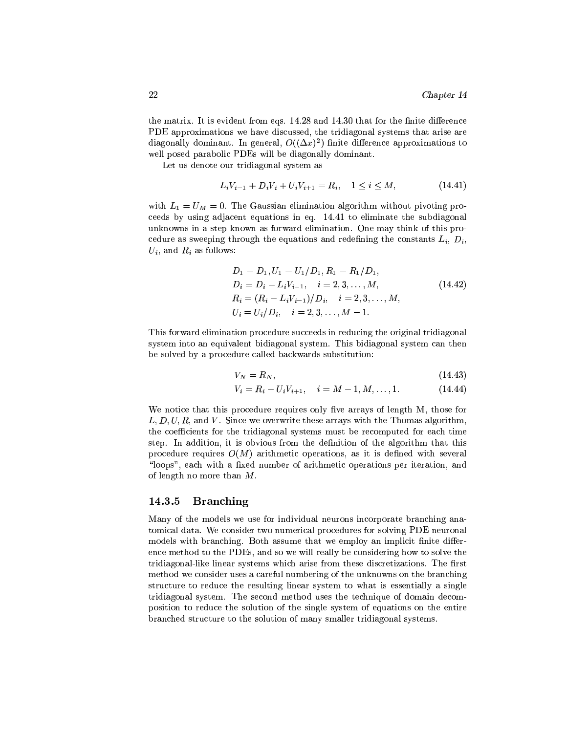the matrix. It is evident from eqs. 14.28 and 14.30 that for the finite difference PDE approximations we have discussed, the tridiagonal systems that arise are diagonally dominant. In general,  $O((\Delta x)^2)$  finite difference approximations to well posed parabolic PDEs will be diagonally dominant.

Let us denote our tridiagonal system as

$$
L_i V_{i-1} + D_i V_i + U_i V_{i+1} = R_i, \quad 1 \le i \le M,\tag{14.41}
$$

with  $L_1 = U_M = 0$ . The Gaussian elimination algorithm without pivoting proceeds by using adjacent equations in eq. 14.41 to eliminate the subdiagonal unknowns in a step known as forward elimination. One may think of this procedure as sweeping through the equations and redefining the constants  $L_i, D_i,$  $U_i$ , and  $R_i$  as follows:

$$
D_1 = D_1, U_1 = U_1/D_1, R_1 = R_1/D_1,
$$
  
\n
$$
D_i = D_i - L_i V_{i-1}, \quad i = 2, 3, ..., M,
$$
  
\n
$$
R_i = (R_i - L_i V_{i-1})/D_i, \quad i = 2, 3, ..., M,
$$
  
\n
$$
U_i = U_i/D_i, \quad i = 2, 3, ..., M - 1.
$$
\n(14.42)

This forward elimination procedure succeeds in reducing the original tridiagonal system into an equivalent bidiagonal system. This bidiagonal system can then be solved by a procedure called backwards substitution:

$$
V_N = R_N, \t\t(14.43)
$$

$$
V_i = R_i - U_i V_{i+1}, \quad i = M - 1, M, \dots, 1.
$$
 (14.44)

We notice that this procedure requires only five arrays of length M, those for  $L, D, U, R$ , and V. Since we overwrite these arrays with the Thomas algorithm, the coefficients for the tridiagonal systems must be recomputed for each time step. In addition, it is obvious from the definition of the algorithm that this procedure requires  $O(M)$  arithmetic operations, as it is defined with several "loops", each with a fixed number of arithmetic operations per iteration, and of length no more than  $M.$ 

#### **Branching**  $14.3.5$

Many of the models we use for individual neurons incorporate branching anatomical data. We consider two numerical procedures for solving PDE neuronal models with branching. Both assume that we employ an implicit finite difference method to the PDEs, and so we will really be considering how to solve the tridiagonal-like linear systems which arise from these discretizations. The first method we consider uses a careful numbering of the unknowns on the branching structure to reduce the resulting linear system to what is essentially a single tridiagonal system. The second method uses the technique of domain decomposition to reduce the solution of the single system of equations on the entire branched structure to the solution of many smaller tridiagonal systems.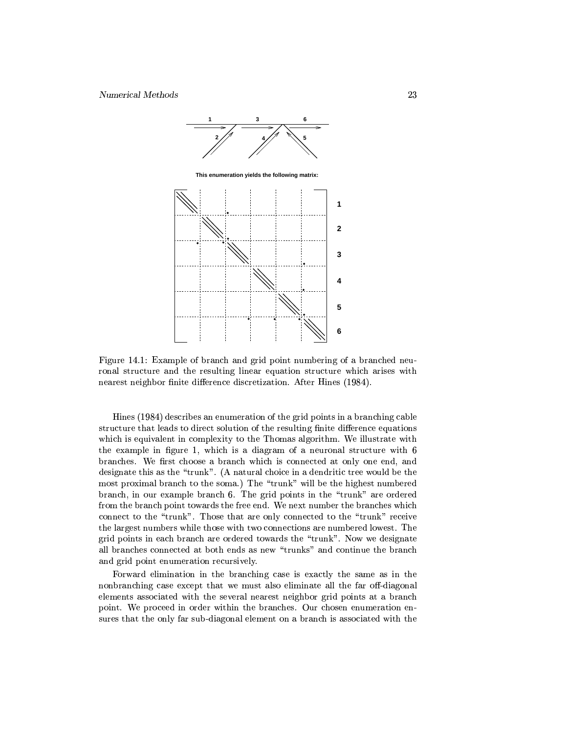

Figure 14.1: Example of branch and grid point numbering of a branched neuronal structure and the resulting linear equation structure which arises with nearest neighbor finite difference discretization. After Hines (1984).

Hines (1984) describes an enumeration of the grid points in a branching cable structure that leads to direct solution of the resulting finite difference equations which is equivalent in complexity to the Thomas algorithm. We illustrate with the example in figure 1, which is a diagram of a neuronal structure with 6 branches. We first choose a branch which is connected at only one end, and designate this as the "trunk". (A natural choice in a dendritic tree would be the most proximal branch to the soma.) The "trunk" will be the highest numbered branch, in our example branch 6. The grid points in the "trunk" are ordered from the branch point towards the free end. We next number the branches which connect to the "trunk". Those that are only connected to the "trunk" receive the largest numbers while those with two connections are numbered lowest. The grid points in each branch are ordered towards the "trunk". Now we designate all branches connected at both ends as new "trunks" and continue the branch and grid point enumeration recursively.

Forward elimination in the branching case is exactly the same as in the nonbranching case except that we must also eliminate all the far off-diagonal elements associated with the several nearest neighbor grid points at a branch point. We proceed in order within the branches. Our chosen enumeration ensures that the only far sub-diagonal element on a branch is associated with the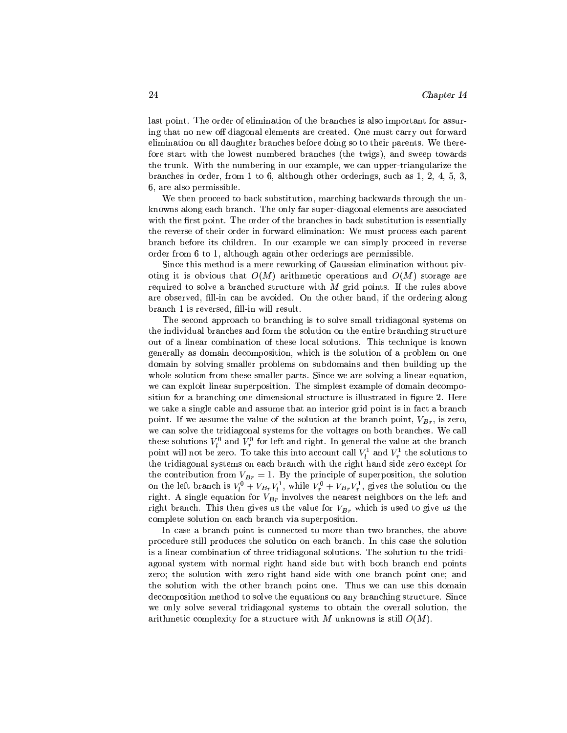last point. The order of elimination of the branches is also important for assuring that no new off diagonal elements are created. One must carry out forward elimination on all daughter branches before doing so to their parents. We therefore start with the lowest numbered branches (the twigs), and sweep towards the trunk. With the numbering in our example, we can upper-triangularize the branches in order, from 1 to 6, although other orderings, such as  $1, 2, 4, 5, 3$ , 6, are also permissible.

We then proceed to back substitution, marching backwards through the unknowns along each branch. The only far super-diagonal elements are associated with the first point. The order of the branches in back substitution is essentially the reverse of their order in forward elimination: We must process each parent branch before its children. In our example we can simply proceed in reverse order from 6 to 1, although again other orderings are permissible.

Since this method is a mere reworking of Gaussian elimination without pivoting it is obvious that  $O(M)$  arithmetic operations and  $O(M)$  storage are required to solve a branched structure with  $M$  grid points. If the rules above are observed, fill-in can be avoided. On the other hand, if the ordering along branch 1 is reversed, fill-in will result.

The second approach to branching is to solve small tridiagonal systems on the individual branches and form the solution on the entire branching structure out of a linear combination of these local solutions. This technique is known generally as domain decomposition, which is the solution of a problem on one domain by solving smaller problems on subdomains and then building up the whole solution from these smaller parts. Since we are solving a linear equation, we can exploit linear superposition. The simplest example of domain decomposition for a branching one-dimensional structure is illustrated in figure 2. Here we take a single cable and assume that an interior grid point is in fact a branch point. If we assume the value of the solution at the branch point,  $V_{Br}$ , is zero, we can solve the tridiagonal systems for the voltages on both branches. We call these solutions  $V_l^0$  and  $V_r^0$  for left and right. In general the value at the branch point will not be zero. To take this into account call  $V_l^1$  and  $V_r^1$  the solutions to the tridiagonal systems on each branch with the right hand side zero except for the contribution from  $V_{Br} = 1$ . By the principle of superposition, the solution on the left branch is  $V_l^0 + V_{Br} V_l^1$ , while  $V_r^0 + V_{Br} V_r^1$ , gives the solution on the right. A single equation for  $V_{Br}$  involves the nearest neighbors on the left and right branch. This then gives us the value for  $V_{Br}$  which is used to give us the complete solution on each branch via superposition.

In case a branch point is connected to more than two branches, the above procedure still produces the solution on each branch. In this case the solution is a linear combination of three tridiagonal solutions. The solution to the tridiagonal system with normal right hand side but with both branch end points zero; the solution with zero right hand side with one branch point one; and the solution with the other branch point one. Thus we can use this domain decomposition method to solve the equations on any branching structure. Since we only solve several tridiagonal systems to obtain the overall solution, the arithmetic complexity for a structure with  $M$  unknowns is still  $O(M)$ .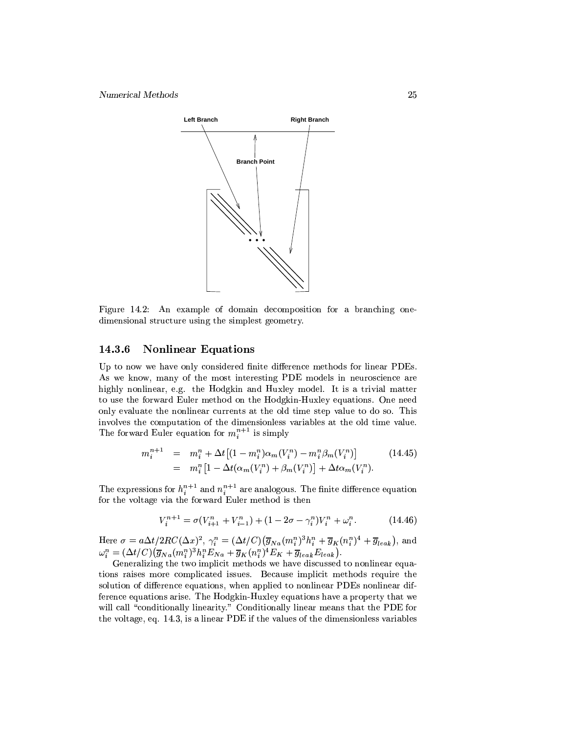

Figure 14.2: An example of domain decomposition for a branching onedimensional structure using the simplest geometry.

#### **Nonlinear Equations** 14.3.6

Up to now we have only considered finite difference methods for linear PDEs. As we know, many of the most interesting PDE models in neuroscience are highly nonlinear, e.g. the Hodgkin and Huxley model. It is a trivial matter to use the forward Euler method on the Hodgkin-Huxley equations. One need only evaluate the nonlinear currents at the old time step value to do so. This involves the computation of the dimensionless variables at the old time value. The forward Euler equation for  $m_i^{n+1}$  is simply

$$
m_i^{n+1} = m_i^n + \Delta t \left[ (1 - m_i^n) \alpha_m (V_i^n) - m_i^n \beta_m (V_i^n) \right]
$$
  
= 
$$
m_i^n \left[ 1 - \Delta t (\alpha_m (V_i^n) + \beta_m (V_i^n)) + \Delta t \alpha_m (V_i^n) \right].
$$
 (14.45)

The expressions for  $h_i^{n+1}$  and  $n_i^{n+1}$  are analogous. The finite difference equation for the voltage via the forward Euler method is then

$$
V_i^{n+1} = \sigma(V_{i+1}^n + V_{i-1}^n) + (1 - 2\sigma - \gamma_i^n)V_i^n + \omega_i^n.
$$
 (14.46)

Here  $\sigma = a\Delta t/2RC(\Delta x)^2$ ,  $\gamma_i^n = (\Delta t/C)(\overline{g}_{Na}(m_i^n)^3h_i^n + \overline{g}_K(n_i^n)^4 + \overline{g}_{leak})$ , and  $\omega_i^n = (\Delta t/C)(\overline{g}_{Na}(m_i^n)^3h_i^nE_{Na} + \overline{g}_K(n_i^n)^4E_K + \overline{g}_{leak}E_{leak})$ .

Generalizing the two implicit methods we have discussed to nonlinear equations raises more complicated issues. Because implicit methods require the solution of difference equations, when applied to nonlinear PDEs nonlinear difference equations arise. The Hodgkin-Huxley equations have a property that we will call "conditionally linearity." Conditionally linear means that the PDE for the voltage, eq. 14.3, is a linear PDE if the values of the dimensionless variables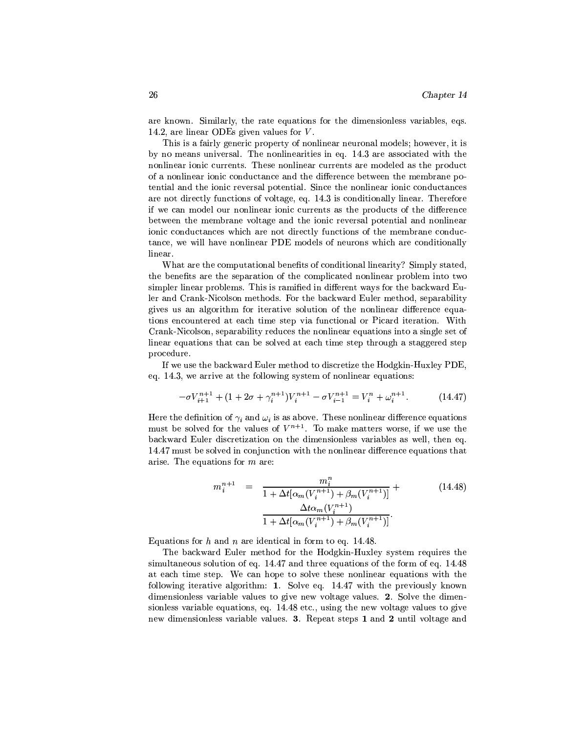are known. Similarly, the rate equations for the dimensionless variables, eqs. 14.2, are linear ODEs given values for  $V$ .

This is a fairly generic property of nonlinear neuronal models; however, it is by no means universal. The nonlinearities in eq. 14.3 are associated with the nonlinear ionic currents. These nonlinear currents are modeled as the product of a nonlinear ionic conductance and the difference between the membrane potential and the ionic reversal potential. Since the nonlinear ionic conductances are not directly functions of voltage, eq. 14.3 is conditionally linear. Therefore if we can model our nonlinear ionic currents as the products of the difference between the membrane voltage and the ionic reversal potential and nonlinear ionic conductances which are not directly functions of the membrane conductance, we will have nonlinear PDE models of neurons which are conditionally linear.

What are the computational benefits of conditional linearity? Simply stated, the benefits are the separation of the complicated nonlinear problem into two simpler linear problems. This is ramified in different ways for the backward Euler and Crank-Nicolson methods. For the backward Euler method, separability gives us an algorithm for iterative solution of the nonlinear difference equations encountered at each time step via functional or Picard iteration. With Crank-Nicolson, separability reduces the nonlinear equations into a single set of linear equations that can be solved at each time step through a staggered step procedure.

If we use the backward Euler method to discretize the Hodgkin-Huxley PDE, eq. 14.3, we arrive at the following system of nonlinear equations:

$$
-\sigma V_{i+1}^{n+1} + (1 + 2\sigma + \gamma_i^{n+1})V_i^{n+1} - \sigma V_{i-1}^{n+1} = V_i^n + \omega_i^{n+1}.
$$
 (14.47)

Here the definition of  $\gamma_i$  and  $\omega_i$  is as above. These nonlinear difference equations must be solved for the values of  $V^{n+1}$ . To make matters worse, if we use the backward Euler discretization on the dimensionless variables as well, then eq. 14.47 must be solved in conjunction with the nonlinear difference equations that arise. The equations for  $m$  are:

$$
m_i^{n+1} = \frac{m_i^n}{1 + \Delta t [\alpha_m(V_i^{n+1}) + \beta_m(V_i^{n+1})]} +
$$
  

$$
\frac{\Delta t \alpha_m(V_i^{n+1})}{1 + \Delta t [\alpha_m(V_i^{n+1}) + \beta_m(V_i^{n+1})]}.
$$
 (14.48)

Equations for h and n are identical in form to eq. 14.48.

The backward Euler method for the Hodgkin-Huxley system requires the simultaneous solution of eq. 14.47 and three equations of the form of eq. 14.48 at each time step. We can hope to solve these nonlinear equations with the following iterative algorithm: 1. Solve eq. 14.47 with the previously known dimensionless variable values to give new voltage values. 2. Solve the dimensionless variable equations, eq. 14.48 etc., using the new voltage values to give new dimensionless variable values.  $3.$  Repeat steps 1 and 2 until voltage and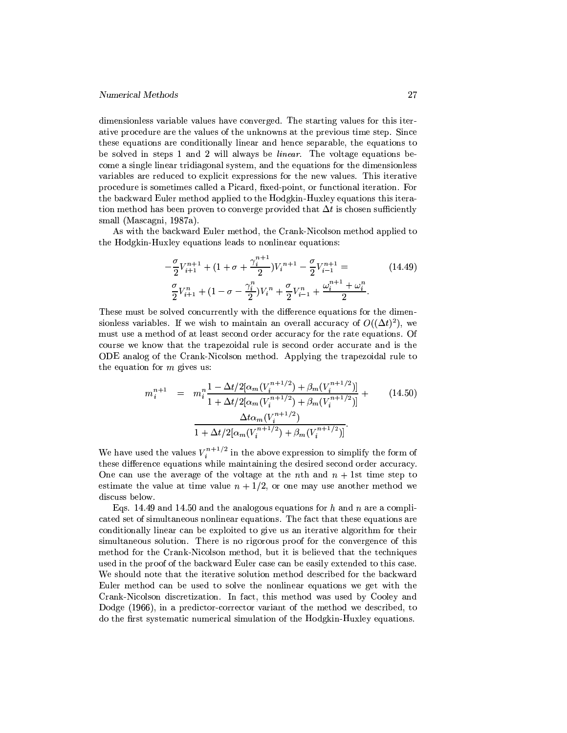dimensionless variable values have converged. The starting values for this iterative procedure are the values of the unknowns at the previous time step. Since these equations are conditionally linear and hence separable, the equations to be solved in steps 1 and 2 will always be *linear*. The voltage equations become a single linear tridiagonal system, and the equations for the dimensionless variables are reduced to explicit expressions for the new values. This iterative procedure is sometimes called a Picard, fixed-point, or functional iteration. For the backward Euler method applied to the Hodgkin-Huxley equations this iteration method has been proven to converge provided that  $\Delta t$  is chosen sufficiently small (Mascagni, 1987a).

As with the backward Euler method, the Crank-Nicolson method applied to the Hodgkin-Huxley equations leads to nonlinear equations:

$$
-\frac{\sigma}{2}V_{i+1}^{n+1} + (1 + \sigma + \frac{\gamma_i^{n+1}}{2})V_i^{n+1} - \frac{\sigma}{2}V_{i-1}^{n+1} =
$$
\n
$$
\frac{\sigma}{2}V_{i+1}^{n} + (1 - \sigma - \frac{\gamma_i^{n}}{2})V_i^{n} + \frac{\sigma}{2}V_{i-1}^{n} + \frac{\omega_i^{n+1} + \omega_i^{n}}{2}.
$$
\n(14.49)

These must be solved concurrently with the difference equations for the dimensionless variables. If we wish to maintain an overall accuracy of  $O((\Delta t)^2)$ , we must use a method of at least second order accuracy for the rate equations. Of course we know that the trapezoidal rule is second order accurate and is the ODE analog of the Crank-Nicolson method. Applying the trapezoidal rule to the equation for  $m$  gives us:

$$
m_i^{n+1} = m_i^n \frac{1 - \Delta t/2[\alpha_m(V_i^{n+1/2}) + \beta_m(V_i^{n+1/2})]}{1 + \Delta t/2[\alpha_m(V_i^{n+1/2}) + \beta_m(V_i^{n+1/2})]} + \frac{\Delta t\alpha_m(V_i^{n+1/2})}{1 + \Delta t/2[\alpha_m(V_i^{n+1/2}) + \beta_m(V_i^{n+1/2})]}.
$$
\n(14.50)

We have used the values  $V_i^{n+1/2}$  in the above expression to simplify the form of these difference equations while maintaining the desired second order accuracy. One can use the average of the voltage at the nth and  $n + 1$ st time step to estimate the value at time value  $n + 1/2$ , or one may use another method we discuss below.

Eqs. 14.49 and 14.50 and the analogous equations for h and n are a complicated set of simultaneous nonlinear equations. The fact that these equations are conditionally linear can be exploited to give us an iterative algorithm for their simultaneous solution. There is no rigorous proof for the convergence of this method for the Crank-Nicolson method, but it is believed that the techniques used in the proof of the backward Euler case can be easily extended to this case. We should note that the iterative solution method described for the backward Euler method can be used to solve the nonlinear equations we get with the Crank-Nicolson discretization. In fact, this method was used by Cooley and Dodge (1966), in a predictor-corrector variant of the method we described, to do the first systematic numerical simulation of the Hodgkin-Huxley equations.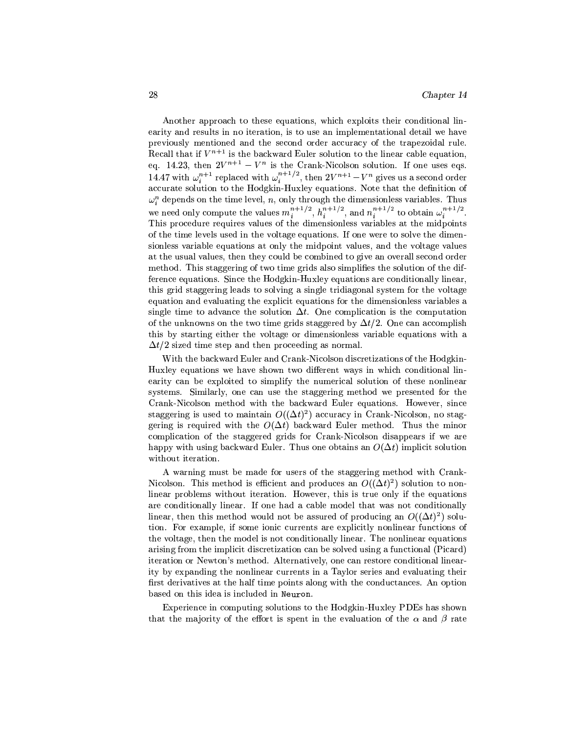Another approach to these equations, which exploits their conditional linearity and results in no iteration, is to use an implementational detail we have previously mentioned and the second order accuracy of the trapezoidal rule. Recall that if  $V^{n+1}$  is the backward Euler solution to the linear cable equation, eq. 14.23, then  $2V^{n+1} - V^n$  is the Crank-Nicolson solution. If one uses eqs. 14.47 with  $\omega_i^{n+1}$  replaced with  $\omega_i^{n+1/2}$ , then  $2V^{n+1} - V^n$  gives us a second order accurate solution to the Hodgkin-Huxley equations. Note that the definition of  $\omega_i^n$  depends on the time level,  $n,$  only through the dimensionless variables. Thus we need only compute the values  $m_i^{n+1/2}$ ,  $h_i^{n+1/2}$ , and  $n_i^{n+1/2}$  to obtain  $\omega_i^{n+1/2}$ . This procedure requires values of the dimensionless variables at the midpoints of the time levels used in the voltage equations. If one were to solve the dimensionless variable equations at only the midpoint values, and the voltage values at the usual values, then they could be combined to give an overall second order method. This staggering of two time grids also simplifies the solution of the difference equations. Since the Hodgkin-Huxley equations are conditionally linear, this grid staggering leads to solving a single tridiagonal system for the voltage equation and evaluating the explicit equations for the dimensionless variables a single time to advance the solution  $\Delta t$ . One complication is the computation of the unknowns on the two time grids staggered by  $\Delta t/2$ . One can accomplish this by starting either the voltage or dimensionless variable equations with a  $\Delta t/2$  sized time step and then proceeding as normal.

With the backward Euler and Crank-Nicolson discretizations of the Hodgkin-Huxley equations we have shown two different ways in which conditional linearity can be exploited to simplify the numerical solution of these nonlinear systems. Similarly, one can use the staggering method we presented for the Crank-Nicolson method with the backward Euler equations. However, since staggering is used to maintain  $O((\Delta t)^2)$  accuracy in Crank-Nicolson, no staggering is required with the  $O(\Delta t)$  backward Euler method. Thus the minor complication of the staggered grids for Crank-Nicolson disappears if we are happy with using backward Euler. Thus one obtains an  $O(\Delta t)$  implicit solution without iteration.

A warning must be made for users of the staggering method with Crank-Nicolson. This method is efficient and produces an  $O((\Delta t)^2)$  solution to nonlinear problems without iteration. However, this is true only if the equations are conditionally linear. If one had a cable model that was not conditionally linear, then this method would not be assured of producing an  $O((\Delta t)^2)$  solution. For example, if some jonic currents are explicitly nonlinear functions of the voltage, then the model is not conditionally linear. The nonlinear equations arising from the implicit discretization can be solved using a functional (Picard) iteration or Newton's method. Alternatively, one can restore conditional linearity by expanding the nonlinear currents in a Taylor series and evaluating their first derivatives at the half time points along with the conductances. An option based on this idea is included in Neuron.

Experience in computing solutions to the Hodgkin-Huxley PDEs has shown that the majority of the effort is spent in the evaluation of the  $\alpha$  and  $\beta$  rate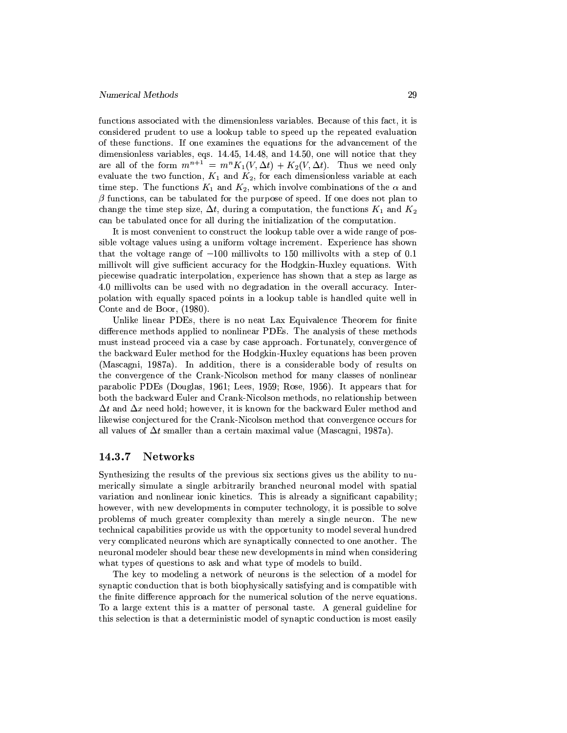functions associated with the dimensionless variables. Because of this fact, it is considered prudent to use a lookup table to speed up the repeated evaluation of these functions. If one examines the equations for the advancement of the dimensionless variables, eqs. 14.45, 14.48, and 14.50, one will notice that they are all of the form  $m^{n+1} = m^n K_1(V, \Delta t) + K_2(V, \Delta t)$ . Thus we need only evaluate the two function,  $K_1$  and  $K_2$ , for each dimensionless variable at each time step. The functions  $K_1$  and  $K_2$ , which involve combinations of the  $\alpha$  and  $\beta$  functions, can be tabulated for the purpose of speed. If one does not plan to change the time step size,  $\Delta t$ , during a computation, the functions  $K_1$  and  $K_2$ can be tabulated once for all during the initialization of the computation.

It is most convenient to construct the lookup table over a wide range of possible voltage values using a uniform voltage increment. Experience has shown that the voltage range of  $-100$  millivolts to 150 millivolts with a step of 0.1 millivolt will give sufficient accuracy for the Hodgkin-Huxley equations. With piecewise quadratic interpolation, experience has shown that a step as large as 4.0 millivolts can be used with no degradation in the overall accuracy. Interpolation with equally spaced points in a lookup table is handled quite well in Conte and de Boor, (1980).

Unlike linear PDEs, there is no neat Lax Equivalence Theorem for finite difference methods applied to nonlinear PDEs. The analysis of these methods must instead proceed via a case by case approach. Fortunately, convergence of the backward Euler method for the Hodgkin-Huxley equations has been proven (Mascagni, 1987a). In addition, there is a considerable body of results on the convergence of the Crank-Nicolson method for many classes of nonlinear parabolic PDEs (Douglas, 1961; Lees, 1959; Rose, 1956). It appears that for both the backward Euler and Crank-Nicolson methods, no relationship between  $\Delta t$  and  $\Delta x$  need hold; however, it is known for the backward Euler method and likewise conjectured for the Crank-Nicolson method that convergence occurs for all values of  $\Delta t$  smaller than a certain maximal value (Mascagni, 1987a).

#### 14.3.7 **Networks**

Synthesizing the results of the previous six sections gives us the ability to numerically simulate a single arbitrarily branched neuronal model with spatial variation and nonlinear ionic kinetics. This is already a significant capability; however, with new developments in computer technology, it is possible to solve problems of much greater complexity than merely a single neuron. The new technical capabilities provide us with the opportunity to model several hundred very complicated neurons which are synaptically connected to one another. The neuronal modeler should bear these new developments in mind when considering what types of questions to ask and what type of models to build.

The key to modeling a network of neurons is the selection of a model for synaptic conduction that is both biophysically satisfying and is compatible with the finite difference approach for the numerical solution of the nerve equations. To a large extent this is a matter of personal taste. A general guideline for this selection is that a deterministic model of synaptic conduction is most easily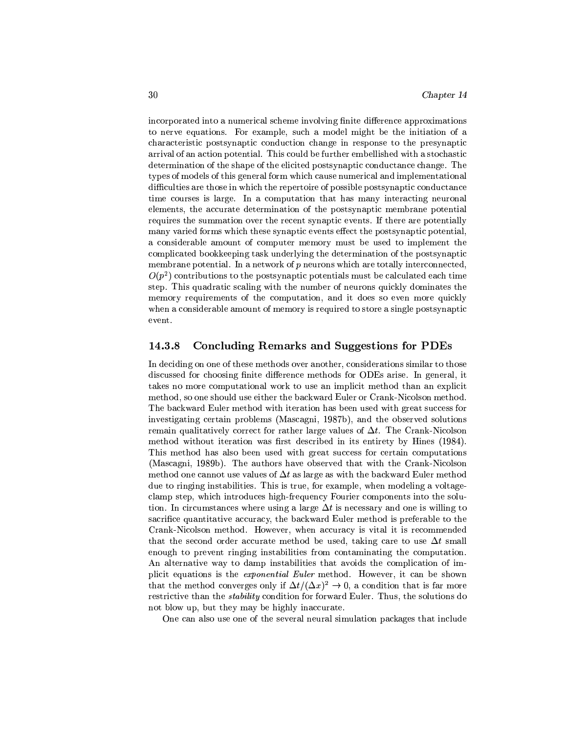incorporated into a numerical scheme involving finite difference approximations to nerve equations. For example, such a model might be the initiation of a characteristic postsynaptic conduction change in response to the presynaptic arrival of an action potential. This could be further embellished with a stochastic determination of the shape of the elicited postsynaptic conductance change. The types of models of this general form which cause numerical and implementational difficulties are those in which the repertoire of possible postsynaptic conductance time courses is large. In a computation that has many interacting neuronal elements, the accurate determination of the postsynaptic membrane potential requires the summation over the recent synaptic events. If there are potentially many varied forms which these synaptic events effect the postsynaptic potential, a considerable amount of computer memory must be used to implement the complicated bookkeeping task underlying the determination of the postsynaptic membrane potential. In a network of  $p$  neurons which are totally interconnected,  $O(p^2)$  contributions to the postsynaptic potentials must be calculated each time step. This quadratic scaling with the number of neurons quickly dominates the memory requirements of the computation, and it does so even more quickly when a considerable amount of memory is required to store a single postsynaptic event.

#### 14.3.8 **Concluding Remarks and Suggestions for PDEs**

In deciding on one of these methods over another, considerations similar to those discussed for choosing finite difference methods for ODEs arise. In general, it takes no more computational work to use an implicit method than an explicit method, so one should use either the backward Euler or Crank-Nicolson method. The backward Euler method with iteration has been used with great success for investigating certain problems (Mascagni, 1987b), and the observed solutions remain qualitatively correct for rather large values of  $\Delta t$ . The Crank-Nicolson method without iteration was first described in its entirety by Hines (1984). This method has also been used with great success for certain computations (Mascagni, 1989b). The authors have observed that with the Crank-Nicolson method one cannot use values of  $\Delta t$  as large as with the backward Euler method due to ringing instabilities. This is true, for example, when modeling a voltageclamp step, which introduces high-frequency Fourier components into the solution. In circumstances where using a large  $\Delta t$  is necessary and one is willing to sacrifice quantitative accuracy, the backward Euler method is preferable to the Crank-Nicolson method. However, when accuracy is vital it is recommended that the second order accurate method be used, taking care to use  $\Delta t$  small enough to prevent ringing instabilities from contaminating the computation. An alternative way to damp instabilities that avoids the complication of implicit equations is the *exponential Euler* method. However, it can be shown that the method converges only if  $\Delta t/(\Delta x)^2 \to 0$ , a condition that is far more restrictive than the *stability* condition for forward Euler. Thus, the solutions do not blow up, but they may be highly inaccurate.

One can also use one of the several neural simulation packages that include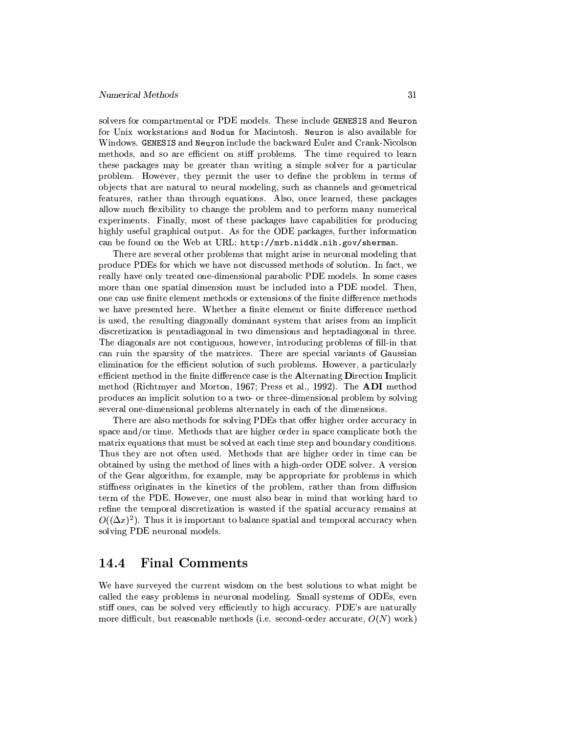solvers for compartmental or PDE models. These include GENESIS and Neuron for Unix workstations and Nodus for Macintosh. Neuron is also available for Windows. GENESIS and Neuron include the backward Euler and Crank-Nicolson methods, and so are efficient on stiff problems. The time required to learn these packages may be greater than writing a simple solver for a particular problem. However, they permit the user to define the problem in terms of objects that are natural to neural modeling, such as channels and geometrical features, rather than through equations. Also, once learned, these packages allow much flexibility to change the problem and to perform many numerical experiments. Finally, most of these packages have capabilities for producing highly useful graphical output. As for the ODE packages, further information can be found on the Web at URL: http://mrb.niddk.nih.gov/sherman.

There are several other problems that might arise in neuronal modeling that produce PDEs for which we have not discussed methods of solution. In fact, we really have only treated one-dimensional parabolic PDE models. In some cases more than one spatial dimension must be included into a PDE model. Then, one can use finite element methods or extensions of the finite difference methods we have presented here. Whether a finite element or finite difference method is used, the resulting diagonally dominant system that arises from an implicit discretization is pentadiagonal in two dimensions and heptadiagonal in three. The diagonals are not contiguous, however, introducing problems of fill-in that can ruin the sparsity of the matrices. There are special variants of Gaussian elimination for the efficient solution of such problems. However, a particularly efficient method in the finite difference case is the Alternating Direction Implicit method (Richtmyer and Morton, 1967; Press et al., 1992). The ADI method produces an implicit solution to a two- or three-dimensional problem by solving several one-dimensional problems alternately in each of the dimensions.

There are also methods for solving PDEs that offer higher order accuracy in space and/or time. Methods that are higher order in space complicate both the matrix equations that must be solved at each time step and boundary conditions. Thus they are not often used. Methods that are higher order in time can be obtained by using the method of lines with a high-order ODE solver. A version of the Gear algorithm, for example, may be appropriate for problems in which stiffness originates in the kinetics of the problem, rather than from diffusion term of the PDE. However, one must also bear in mind that working hard to refine the temporal discretization is wasted if the spatial accuracy remains at  $O((\Delta x)^2)$ . Thus it is important to balance spatial and temporal accuracy when solving PDE neuronal models.

#### 14.4 **Final Comments**

We have surveyed the current wisdom on the best solutions to what might be called the easy problems in neuronal modeling. Small systems of ODEs, even stiff ones, can be solved very efficiently to high accuracy. PDE's are naturally more difficult, but reasonable methods (i.e. second-order accurate,  $O(N)$  work)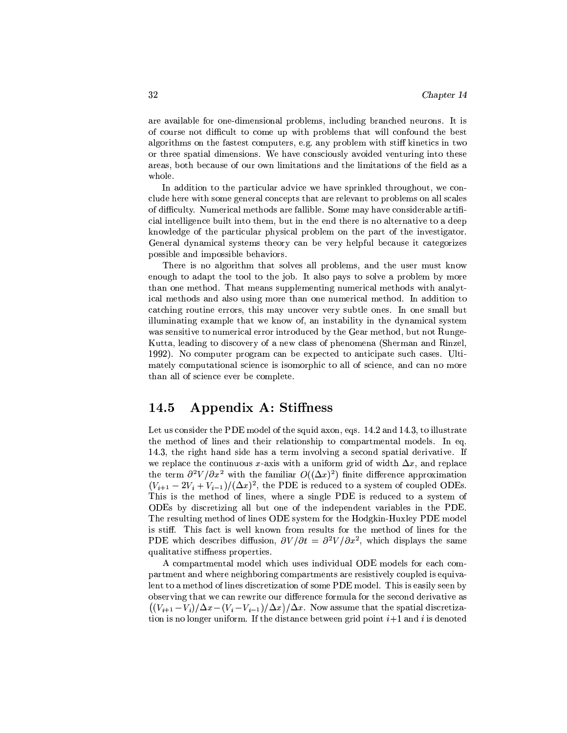are available for one-dimensional problems, including branched neurons. It is of course not difficult to come up with problems that will confound the best algorithms on the fastest computers, e.g. any problem with stiff kinetics in two or three spatial dimensions. We have consciously avoided venturing into these areas, both because of our own limitations and the limitations of the field as a whole.

In addition to the particular advice we have sprinkled throughout, we conclude here with some general concepts that are relevant to problems on all scales of difficulty. Numerical methods are fallible. Some may have considerable artificial intelligence built into them, but in the end there is no alternative to a deep knowledge of the particular physical problem on the part of the investigator. General dynamical systems theory can be very helpful because it categorizes possible and impossible behaviors.

There is no algorithm that solves all problems, and the user must know enough to adapt the tool to the job. It also pays to solve a problem by more than one method. That means supplementing numerical methods with analytical methods and also using more than one numerical method. In addition to catching routine errors, this may uncover very subtle ones. In one small but illuminating example that we know of, an instability in the dynamical system was sensitive to numerical error introduced by the Gear method, but not Runge-Kutta, leading to discovery of a new class of phenomena (Sherman and Rinzel, 1992). No computer program can be expected to anticipate such cases. Ultimately computational science is isomorphic to all of science, and can no more than all of science ever be complete.

#### 14.5 Appendix A: Stiffness

Let us consider the PDE model of the squid axon, eqs. 14.2 and 14.3, to illustrate the method of lines and their relationship to compartmental models. In eq. 14.3, the right hand side has a term involving a second spatial derivative. If we replace the continuous x-axis with a uniform grid of width  $\Delta x$ , and replace the term  $\partial^2 V/\partial x^2$  with the familiar  $O((\Delta x)^2)$  finite difference approximation  $(V_{i+1}-2V_i+V_{i-1})/(\Delta x)^2$ , the PDE is reduced to a system of coupled ODEs. This is the method of lines, where a single PDE is reduced to a system of ODEs by discretizing all but one of the independent variables in the PDE. The resulting method of lines ODE system for the Hodgkin-Huxley PDE model is stiff. This fact is well known from results for the method of lines for the PDE which describes diffusion,  $\partial V/\partial t = \partial^2 V/\partial x^2$ , which displays the same qualitative stiffness properties.

A compartmental model which uses individual ODE models for each compartment and where neighboring compartments are resistively coupled is equivalent to a method of lines discretization of some PDE model. This is easily seen by observing that we can rewrite our difference formula for the second derivative as  $((V_{i+1}-V_i)/\Delta x - (V_i-V_{i-1})/\Delta x)/\Delta x$ . Now assume that the spatial discretization is no longer uniform. If the distance between grid point  $i+1$  and i is denoted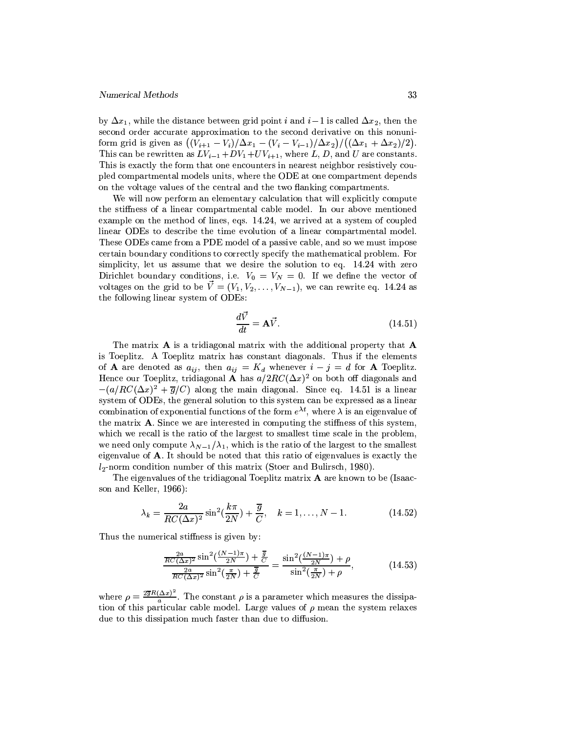by  $\Delta x_1$ , while the distance between grid point *i* and *i* – 1 is called  $\Delta x_2$ , then the second order accurate approximation to the second derivative on this nonuniform grid is given as  $((V_{i+1} - V_i)/\Delta x_1 - (V_i - V_{i-1})/\Delta x_2)/((\Delta x_1 + \Delta x_2)/2)$ . This can be rewritten as  $LV_{i-1}+DV_1+UV_{i+1}$ , where L, D, and U are constants. This is exactly the form that one encounters in nearest neighbor resistively coupled compartmental models units, where the ODE at one compartment depends on the voltage values of the central and the two flanking compartments.

We will now perform an elementary calculation that will explicitly compute the stiffness of a linear compartmental cable model. In our above mentioned example on the method of lines, eqs. 14.24, we arrived at a system of coupled linear ODEs to describe the time evolution of a linear compartmental model. These ODEs came from a PDE model of a passive cable, and so we must impose certain boundary conditions to correctly specify the mathematical problem. For simplicity, let us assume that we desire the solution to eq. 14.24 with zero Dirichlet boundary conditions, i.e.  $V_0 = V_N = 0$ . If we define the vector of voltages on the grid to be  $\vec{V} = (V_1, V_2, \ldots, V_{N-1})$ , we can rewrite eq. 14.24 as the following linear system of ODEs:

$$
\frac{d\vec{V}}{dt} = \mathbf{A}\vec{V}.\tag{14.51}
$$

The matrix  $\bf{A}$  is a tridiagonal matrix with the additional property that  $\bf{A}$ is Toeplitz. A Toeplitz matrix has constant diagonals. Thus if the elements of **A** are denoted as  $a_{ij}$ , then  $a_{ij} = K_d$  whenever  $i - j = d$  for **A** Toeplitz. Hence our Toeplitz, tridiagonal **A** has  $a/2RC(\Delta x)^2$  on both off diagonals and  $-(a/RC(\Delta x)^2 + \overline{g}/C)$  along the main diagonal. Since eq. 14.51 is a linear system of ODEs, the general solution to this system can be expressed as a linear combination of exponential functions of the form  $e^{\lambda t}$ , where  $\lambda$  is an eigenvalue of the matrix A. Since we are interested in computing the stiffness of this system, which we recall is the ratio of the largest to smallest time scale in the problem, we need only compute  $\lambda_{N-1}/\lambda_1$ , which is the ratio of the largest to the smallest eigenvalue of A. It should be noted that this ratio of eigenvalues is exactly the  $l_2$ -norm condition number of this matrix (Stoer and Bulirsch, 1980).

The eigenvalues of the tridiagonal Toeplitz matrix A are known to be (Isaacson and Keller, 1966):

$$
\lambda_k = \frac{2a}{RC(\Delta x)^2} \sin^2\left(\frac{k\pi}{2N}\right) + \frac{\overline{g}}{C}, \quad k = 1, \dots, N - 1.
$$
 (14.52)

Thus the numerical stiffness is given by:

$$
\frac{\frac{2a}{RC(\Delta x)^2} \sin^2(\frac{(N-1)\pi}{2N}) + \frac{\overline{g}}{C}}{\frac{2a}{RC(\Delta x)^2} \sin^2(\frac{\pi}{2N}) + \frac{\overline{g}}{C}} = \frac{\sin^2(\frac{(N-1)\pi}{2N}) + \rho}{\sin^2(\frac{\pi}{2N}) + \rho},\tag{14.53}
$$

where  $\rho = \frac{2\overline{g}R(\Delta x)^2}{a}$ . The constant  $\rho$  is a parameter which measures the dissipation of this particular cable model. Large values of  $\rho$  mean the system relaxes due to this dissipation much faster than due to diffusion.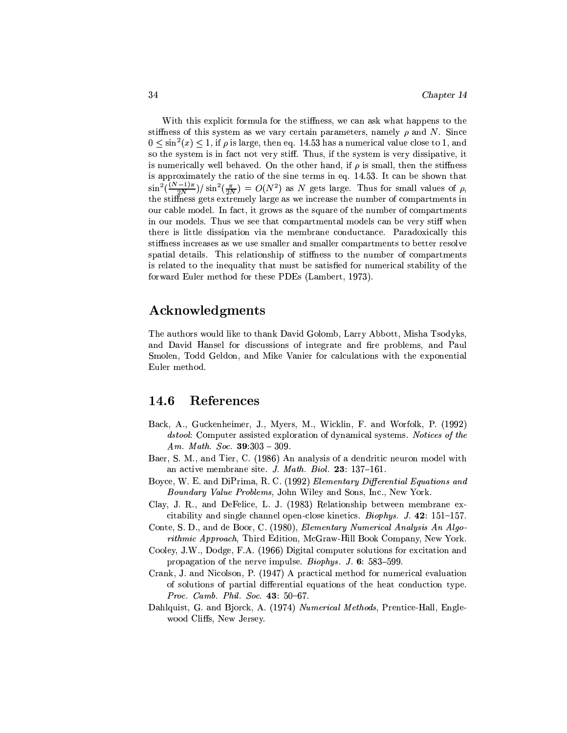With this explicit formula for the stiffness, we can ask what happens to the stiffness of this system as we vary certain parameters, namely  $\rho$  and N. Since  $0 \le \sin^2(x) \le 1$ , if  $\rho$  is large, then eq. 14.53 has a numerical value close to 1, and so the system is in fact not very stiff. Thus, if the system is very dissipative, it is numerically well behaved. On the other hand, if  $\rho$  is small, then the stiffness is approximately the ratio of the sine terms in eq. 14.53. It can be shown that  $\sin^2(\frac{(N-1)\pi}{2N})/\sin^2(\frac{\pi}{2N}) = O(N^2)$  as N gets large. Thus for small values of  $\rho$ , the stiffness gets extremely large as we increase the number of compartments in our cable model. In fact, it grows as the square of the number of compartments in our models. Thus we see that compartmental models can be very stiff when there is little dissipation via the membrane conductance. Paradoxically this stiffness increases as we use smaller and smaller compartments to better resolve spatial details. This relationship of stiffness to the number of compartments is related to the inequality that must be satisfied for numerical stability of the forward Euler method for these PDEs (Lambert, 1973).

## Acknowledgments

The authors would like to thank David Golomb, Larry Abbott, Misha Tsodyks. and David Hansel for discussions of integrate and fire problems, and Paul Smolen, Todd Geldon, and Mike Vanier for calculations with the exponential Euler method.

#### $\bf 14.6$ References

- Back, A., Guckenheimer, J., Myers, M., Wicklin, F. and Worfolk, P. (1992) *dstool:* Computer assisted exploration of dynamical systems. Notices of the Am. Math. Soc.  $39:303 - 309$ .
- Baer, S. M., and Tier, C. (1986) An analysis of a dendritic neuron model with an active membrane site. J. Math. Biol. 23: 137-161.
- Boyce, W. E. and DiPrima, R. C. (1992) Elementary Differential Equations and *Boundary Value Problems*, John Wiley and Sons, Inc., New York.
- Clay, J. R., and DeFelice, L. J. (1983) Relationship between membrane excitability and single channel open-close kinetics. *Biophys.* J. 42: 151–157.
- Conte, S. D., and de Boor, C. (1980), Elementary Numerical Analysis An Algorithmic Approach, Third Edition, McGraw-Hill Book Company, New York.
- Cooley, J.W., Dodge, F.A. (1966) Digital computer solutions for excitation and propagation of the nerve impulse. *Biophys.* J. 6: 583–599.
- Crank, J. and Nicolson, P. (1947) A practical method for numerical evaluation of solutions of partial differential equations of the heat conduction type. Proc. Camb. Phil. Soc. 43:  $50-67$ .
- Dahlquist, G. and Bjorck, A. (1974) Numerical Methods, Prentice-Hall, Englewood Cliffs, New Jersey.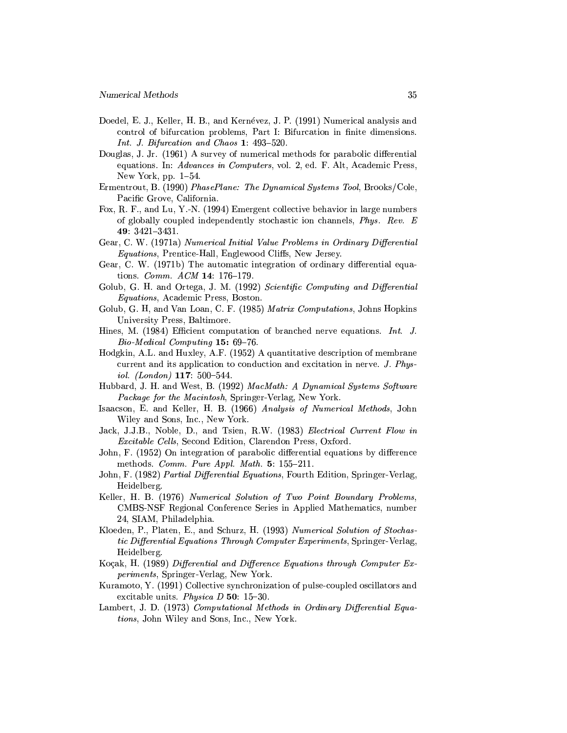- Doedel, E. J., Keller, H. B., and Kernévez, J. P. (1991) Numerical analysis and control of bifurcation problems, Part I: Bifurcation in finite dimensions. Int. J. Bifurcation and Chaos 1: 493-520.
- Douglas, J. Jr. (1961) A survey of numerical methods for parabolic differential equations. In: Advances in Computers, vol. 2, ed. F. Alt. Academic Press, New York, pp.  $1-54$ .
- Ermentrout, B. (1990) PhasePlane: The Dynamical Systems Tool, Brooks/Cole, Pacific Grove, California.
- Fox, R. F., and Lu, Y.-N. (1994) Emergent collective behavior in large numbers of globally coupled independently stochastic ion channels, Phys. Rev. E 49:  $3421 - 3431$ .
- Gear, C. W. (1971a) Numerical Initial Value Problems in Ordinary Differential *Equations*, Prentice-Hall, Englewood Cliffs, New Jersey.
- Gear, C. W. (1971b) The automatic integration of ordinary differential equations. Comm. ACM 14: 176-179.
- Golub, G. H. and Ortega, J. M. (1992) Scientific Computing and Differential *Equations*, Academic Press, Boston.
- Golub, G. H, and Van Loan, C. F. (1985) Matrix Computations, Johns Hopkins University Press, Baltimore.
- Hines, M. (1984) Efficient computation of branched nerve equations. Int. J. Bio-Medical Computing 15: 69-76.
- Hodgkin, A.L. and Huxley, A.F. (1952) A quantitative description of membrane current and its application to conduction and excitation in nerve. J. Physiol. (London)  $117: 500-544$ .
- Hubbard, J. H. and West, B. (1992) MacMath: A Dynamical Systems Software Package for the Macintosh, Springer-Verlag, New York.
- Isaacson, E. and Keller, H. B. (1966) Analysis of Numerical Methods, John Wiley and Sons, Inc., New York.
- Jack, J.J.B., Noble, D., and Tsien, R.W. (1983) Electrical Current Flow in *Excitable Cells*, Second Edition, Clarendon Press, Oxford.
- John, F. (1952) On integration of parabolic differential equations by difference methods. Comm. Pure Appl. Math.  $5: 155-211$ .
- John, F. (1982) Partial Differential Equations, Fourth Edition, Springer-Verlag, Heidelberg.
- Keller, H. B. (1976) Numerical Solution of Two Point Boundary Problems, CMBS-NSF Regional Conference Series in Applied Mathematics, number 24, SIAM, Philadelphia.
- Kloeden, P., Platen, E., and Schurz, H. (1993) Numerical Solution of Stochastic Differential Equations Through Computer Experiments, Springer-Verlag, Heidelberg.
- Koçak, H. (1989) Differential and Difference Equations through Computer Experiments, Springer-Verlag, New York.
- Kuramoto, Y. (1991) Collective synchronization of pulse-coupled oscillators and excitable units. Physica  $D$  50: 15-30.
- Lambert, J. D. (1973) Computational Methods in Ordinary Differential Equations, John Wiley and Sons, Inc., New York.